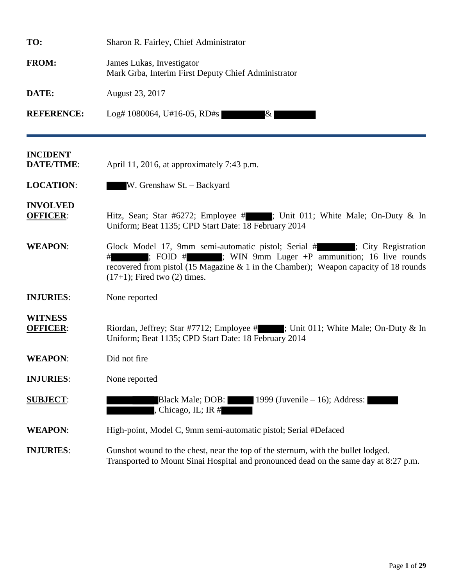| TO:                                  | Sharon R. Fairley, Chief Administrator                                                                                                                                                                                                                               |  |  |
|--------------------------------------|----------------------------------------------------------------------------------------------------------------------------------------------------------------------------------------------------------------------------------------------------------------------|--|--|
| <b>FROM:</b>                         | James Lukas, Investigator<br>Mark Grba, Interim First Deputy Chief Administrator                                                                                                                                                                                     |  |  |
| DATE:                                | August 23, 2017                                                                                                                                                                                                                                                      |  |  |
| <b>REFERENCE:</b>                    | Log# 1080064, U#16-05, RD#s<br>$\&$                                                                                                                                                                                                                                  |  |  |
| <b>INCIDENT</b><br><b>DATE/TIME:</b> | April 11, 2016, at approximately 7:43 p.m.                                                                                                                                                                                                                           |  |  |
| <b>LOCATION:</b>                     | W. Grenshaw St. - Backyard                                                                                                                                                                                                                                           |  |  |
| <b>INVOLVED</b><br><b>OFFICER:</b>   | Hitz, Sean; Star #6272; Employee #; Unit 011; White Male; On-Duty & In<br>Uniform; Beat 1135; CPD Start Date: 18 February 2014                                                                                                                                       |  |  |
| <b>WEAPON:</b>                       | Glock Model 17, 9mm semi-automatic pistol; Serial # ; City Registration<br>; FOID $#$ ; WIN 9mm Luger $+P$ ammunition; 16 live rounds<br>recovered from pistol (15 Magazine $& 1$ in the Chamber); Weapon capacity of 18 rounds<br>$(17+1)$ ; Fired two $(2)$ times. |  |  |
| <b>INJURIES:</b>                     | None reported                                                                                                                                                                                                                                                        |  |  |
| <b>WITNESS</b><br><b>OFFICER:</b>    | Riordan, Jeffrey; Star #7712; Employee #; Unit 011; White Male; On-Duty & In<br>Uniform; Beat 1135; CPD Start Date: 18 February 2014                                                                                                                                 |  |  |
| <b>WEAPON:</b>                       | Did not fire                                                                                                                                                                                                                                                         |  |  |
| <b>INJURIES:</b>                     | None reported                                                                                                                                                                                                                                                        |  |  |
| <b>SUBJECT:</b>                      | 1999 (Juvenile $-16$ ); Address:<br>Black Male; DOB: T<br>Chicago, IL; IR #                                                                                                                                                                                          |  |  |
| <b>WEAPON:</b>                       | High-point, Model C, 9mm semi-automatic pistol; Serial #Defaced                                                                                                                                                                                                      |  |  |
| <b>INJURIES:</b>                     | Gunshot wound to the chest, near the top of the sternum, with the bullet lodged.<br>Transported to Mount Sinai Hospital and pronounced dead on the same day at 8:27 p.m.                                                                                             |  |  |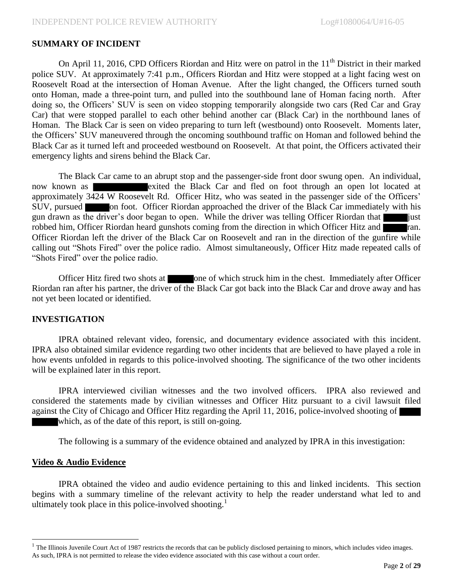### **SUMMARY OF INCIDENT**

On April 11, 2016, CPD Officers Riordan and Hitz were on patrol in the  $11<sup>th</sup>$  District in their marked police SUV. At approximately 7:41 p.m., Officers Riordan and Hitz were stopped at a light facing west on Roosevelt Road at the intersection of Homan Avenue. After the light changed, the Officers turned south onto Homan, made a three-point turn, and pulled into the southbound lane of Homan facing north. After doing so, the Officers' SUV is seen on video stopping temporarily alongside two cars (Red Car and Gray Car) that were stopped parallel to each other behind another car (Black Car) in the northbound lanes of Homan. The Black Car is seen on video preparing to turn left (westbound) onto Roosevelt. Moments later, the Officers' SUV maneuvered through the oncoming southbound traffic on Homan and followed behind the Black Car as it turned left and proceeded westbound on Roosevelt. At that point, the Officers activated their emergency lights and sirens behind the Black Car.

The Black Car came to an abrupt stop and the passenger-side front door swung open. An individual, now known as **EXIT EXITE:** exited the Black Car and fled on foot through an open lot located at approximately 3424 W Roosevelt Rd. Officer Hitz, who was seated in the passenger side of the Officers' SUV, pursued on foot. Officer Riordan approached the driver of the Black Car immediately with his gun drawn as the driver's door began to open. While the driver was telling Officer Riordan that just robbed him, Officer Riordan heard gunshots coming from the direction in which Officer Hitz and ran. Officer Riordan left the driver of the Black Car on Roosevelt and ran in the direction of the gunfire while calling out "Shots Fired" over the police radio. Almost simultaneously, Officer Hitz made repeated calls of "Shots Fired" over the police radio.

Officer Hitz fired two shots at one of which struck him in the chest. Immediately after Officer Riordan ran after his partner, the driver of the Black Car got back into the Black Car and drove away and has not yet been located or identified.

#### **INVESTIGATION**

IPRA obtained relevant video, forensic, and documentary evidence associated with this incident. IPRA also obtained similar evidence regarding two other incidents that are believed to have played a role in how events unfolded in regards to this police-involved shooting. The significance of the two other incidents will be explained later in this report.

IPRA interviewed civilian witnesses and the two involved officers. IPRA also reviewed and considered the statements made by civilian witnesses and Officer Hitz pursuant to a civil lawsuit filed against the City of Chicago and Officer Hitz regarding the April 11, 2016, police-involved shooting of which, as of the date of this report, is still on-going.

The following is a summary of the evidence obtained and analyzed by IPRA in this investigation:

#### **Video & Audio Evidence**

 $\overline{a}$ 

IPRA obtained the video and audio evidence pertaining to this and linked incidents. This section begins with a summary timeline of the relevant activity to help the reader understand what led to and ultimately took place in this police-involved shooting.<sup>1</sup>

 $<sup>1</sup>$  The Illinois Juvenile Court Act of 1987 restricts the records that can be publicly disclosed pertaining to minors, which includes video images.</sup> As such, IPRA is not permitted to release the video evidence associated with this case without a court order.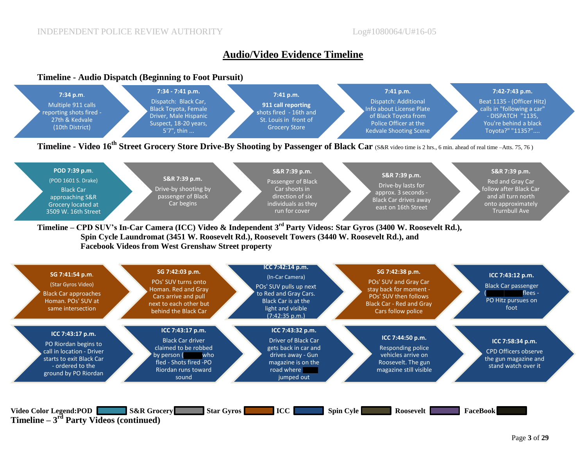# **Audio/Video Evidence Timeline**

#### **Timeline - Audio Dispatch (Beginning to Foot Pursuit)**

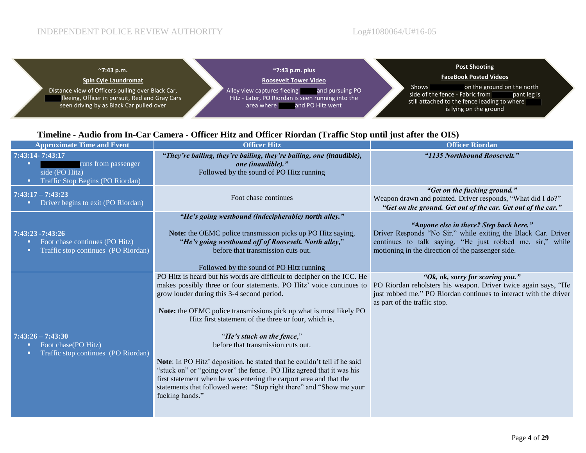$\blacksquare$ 

| $^{\sim}$ 7:43 p.m.<br><b>Spin Cyle Laundromat</b>                                                                                              | $\gamma$ .43 p.m. plus<br><b>Roosevelt Tower Video</b>                                                                          | <b>Post Shooting</b><br><b>FaceBook Posted Videos</b>                                                                                                                  |
|-------------------------------------------------------------------------------------------------------------------------------------------------|---------------------------------------------------------------------------------------------------------------------------------|------------------------------------------------------------------------------------------------------------------------------------------------------------------------|
| Distance view of Officers pulling over Black Car,<br>fleeing, Officer in pursuit, Red and Gray Cars<br>seen driving by as Black Car pulled over | Alley view captures fleeing and pursuing PO<br>Hitz - Later, PO Riordan is seen running into the<br>area where and PO Hitz went | on the ground on the north<br><b>Shows</b><br>side of the fence - Fabric from<br>pant leg is<br>still attached to the fence leading to where<br>is lying on the ground |

# **Timeline - Audio from In-Car Camera - Officer Hitz and Officer Riordan (Traffic Stop until just after the OIS)**

| <b>Approximate Time and Event</b>                                                                      | <b>Officer Hitz</b><br><b>Officer Riordan</b>                                                                                                                                                                                                                                                                                                                                                                                                                                                                                                                                                                                                                                                                       |                                                                                                                                                                                                                            |
|--------------------------------------------------------------------------------------------------------|---------------------------------------------------------------------------------------------------------------------------------------------------------------------------------------------------------------------------------------------------------------------------------------------------------------------------------------------------------------------------------------------------------------------------------------------------------------------------------------------------------------------------------------------------------------------------------------------------------------------------------------------------------------------------------------------------------------------|----------------------------------------------------------------------------------------------------------------------------------------------------------------------------------------------------------------------------|
| 7:43:14-7:43:17<br>runs from passenger<br>п<br>side (PO Hitz)<br>Traffic Stop Begins (PO Riordan)<br>п | "They're bailing, they're bailing, they're bailing, one (inaudible),<br>one (inaudible)."<br>Followed by the sound of PO Hitz running                                                                                                                                                                                                                                                                                                                                                                                                                                                                                                                                                                               | "1135 Northbound Roosevelt."                                                                                                                                                                                               |
| $7:43:17 - 7:43:23$<br>Driver begins to exit (PO Riordan)                                              | Foot chase continues                                                                                                                                                                                                                                                                                                                                                                                                                                                                                                                                                                                                                                                                                                | "Get on the fucking ground."<br>Weapon drawn and pointed. Driver responds, "What did I do?"<br>"Get on the ground. Get out of the car. Get out of the car."                                                                |
| 7:43:23 -7:43:26<br>Foot chase continues (PO Hitz)<br>Traffic stop continues (PO Riordan)              | "He's going westbound (indecipherable) north alley."<br>Note: the OEMC police transmission picks up PO Hitz saying,<br>"He's going westbound off of Roosevelt. North alley,"<br>before that transmission cuts out.<br>Followed by the sound of PO Hitz running                                                                                                                                                                                                                                                                                                                                                                                                                                                      | "Anyone else in there? Step back here."<br>Driver Responds "No Sir." while exiting the Black Car. Driver<br>continues to talk saying, "He just robbed me, sir," while<br>motioning in the direction of the passenger side. |
| $7:43:26 - 7:43:30$<br>Foot chase (PO Hitz)<br>Traffic stop continues (PO Riordan)                     | PO Hitz is heard but his words are difficult to decipher on the ICC. He<br>makes possibly three or four statements. PO Hitz' voice continues to<br>grow louder during this 3-4 second period.<br>Note: the OEMC police transmissions pick up what is most likely PO<br>Hitz first statement of the three or four, which is,<br>"He's stuck on the fence,"<br>before that transmission cuts out.<br>Note: In PO Hitz' deposition, he stated that he couldn't tell if he said<br>"stuck on" or "going over" the fence. PO Hitz agreed that it was his<br>first statement when he was entering the carport area and that the<br>statements that followed were: "Stop right there" and "Show me your<br>fucking hands." | "Ok, ok, sorry for scaring you."<br>PO Riordan reholsters his weapon. Driver twice again says, "He<br>just robbed me." PO Riordan continues to interact with the driver<br>as part of the traffic stop.                    |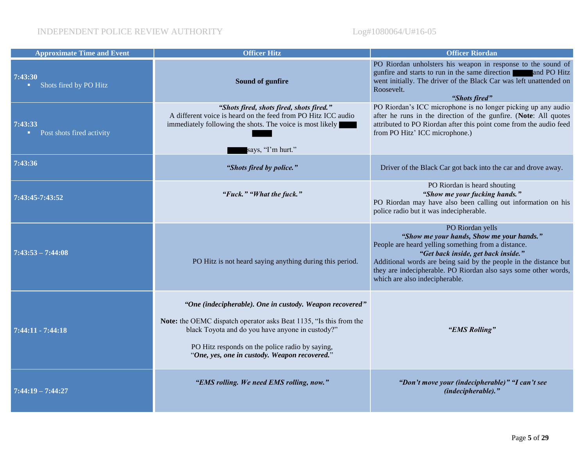| <b>Approximate Time and Event</b>          | <b>Officer Hitz</b>                                                                                                                                                    | <b>Officer Riordan</b>                                                                                                                                                                                                                                                                                                                |
|--------------------------------------------|------------------------------------------------------------------------------------------------------------------------------------------------------------------------|---------------------------------------------------------------------------------------------------------------------------------------------------------------------------------------------------------------------------------------------------------------------------------------------------------------------------------------|
| 7:43:30<br>Shots fired by PO Hitz<br>п.    | Sound of gunfire                                                                                                                                                       | PO Riordan unholsters his weapon in response to the sound of<br>gunfire and starts to run in the same direction and PO Hitz<br>went initially. The driver of the Black Car was left unattended on<br>Roosevelt.<br>"Shots fired"                                                                                                      |
| 7:43:33<br>Post shots fired activity<br>п, | "Shots fired, shots fired, shots fired."<br>A different voice is heard on the feed from PO Hitz ICC audio<br>immediately following the shots. The voice is most likely | PO Riordan's ICC microphone is no longer picking up any audio<br>after he runs in the direction of the gunfire. (Note: All quotes<br>attributed to PO Riordan after this point come from the audio feed<br>from PO Hitz' ICC microphone.)                                                                                             |
|                                            | says, "I'm hurt."                                                                                                                                                      |                                                                                                                                                                                                                                                                                                                                       |
| 7:43:36                                    | "Shots fired by police."                                                                                                                                               | Driver of the Black Car got back into the car and drove away.                                                                                                                                                                                                                                                                         |
| 7:43:45-7:43:52                            | "Fuck." "What the fuck."                                                                                                                                               | PO Riordan is heard shouting<br>"Show me your fucking hands."<br>PO Riordan may have also been calling out information on his<br>police radio but it was indecipherable.                                                                                                                                                              |
| $7:43:53 - 7:44:08$                        | PO Hitz is not heard saying anything during this period.                                                                                                               | PO Riordan yells<br>"Show me your hands, Show me your hands."<br>People are heard yelling something from a distance.<br>"Get back inside, get back inside."<br>Additional words are being said by the people in the distance but<br>they are indecipherable. PO Riordan also says some other words,<br>which are also indecipherable. |
|                                            | "One (indecipherable). One in custody. Weapon recovered"                                                                                                               |                                                                                                                                                                                                                                                                                                                                       |
| $7:44:11 - 7:44:18$                        | Note: the OEMC dispatch operator asks Beat 1135, "Is this from the<br>black Toyota and do you have anyone in custody?"                                                 | "EMS Rolling"                                                                                                                                                                                                                                                                                                                         |
|                                            | PO Hitz responds on the police radio by saying,<br>"One, yes, one in custody. Weapon recovered."                                                                       |                                                                                                                                                                                                                                                                                                                                       |
| $7:44:19 - 7:44:27$                        | "EMS rolling. We need EMS rolling, now."                                                                                                                               | "Don't move your (indecipherable)" "I can't see<br>(indecipherable)."                                                                                                                                                                                                                                                                 |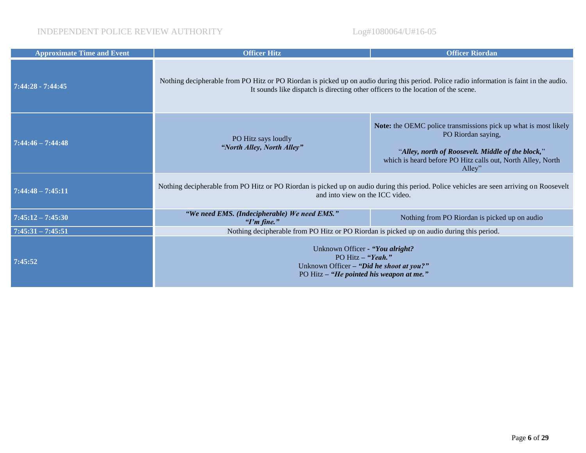| <b>Approximate Time and Event</b> | <b>Officer Hitz</b>                                                                                                                                                                                                            | <b>Officer Riordan</b>                                                                                                                                                                                              |  |
|-----------------------------------|--------------------------------------------------------------------------------------------------------------------------------------------------------------------------------------------------------------------------------|---------------------------------------------------------------------------------------------------------------------------------------------------------------------------------------------------------------------|--|
| $7:44:28 - 7:44:45$               | Nothing decipherable from PO Hitz or PO Riordan is picked up on audio during this period. Police radio information is faint in the audio.<br>It sounds like dispatch is directing other officers to the location of the scene. |                                                                                                                                                                                                                     |  |
| $7:44:46 - 7:44:48$               | PO Hitz says loudly<br>"North Alley, North Alley"                                                                                                                                                                              | Note: the OEMC police transmissions pick up what is most likely<br>PO Riordan saying,<br>"Alley, north of Roosevelt. Middle of the block,"<br>which is heard before PO Hitz calls out, North Alley, North<br>Alley" |  |
| $7:44:48 - 7:45:11$               | Nothing decipherable from PO Hitz or PO Riordan is picked up on audio during this period. Police vehicles are seen arriving on Roosevelt<br>and into view on the ICC video.                                                    |                                                                                                                                                                                                                     |  |
| $7:45:12 - 7:45:30$               | "We need EMS. (Indecipherable) We need EMS."<br>" $Tm$ fine."                                                                                                                                                                  | Nothing from PO Riordan is picked up on audio                                                                                                                                                                       |  |
| $7:45:31 - 7:45:51$               | Nothing decipherable from PO Hitz or PO Riordan is picked up on audio during this period.                                                                                                                                      |                                                                                                                                                                                                                     |  |
| 7:45:52                           | Unknown Officer - "You alright?<br>PO Hitz - "Yeah."<br>Unknown Officer - "Did he shoot at you?"<br>PO Hitz - "He pointed his weapon at me."                                                                                   |                                                                                                                                                                                                                     |  |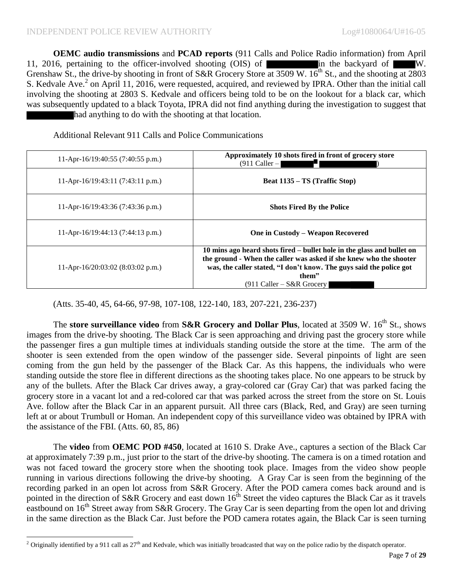**OEMC audio transmissions** and **PCAD reports** (911 Calls and Police Radio information) from April 11, 2016, pertaining to the officer-involved shooting (OIS) of in the backyard of W. Grenshaw St., the drive-by shooting in front of S&R Grocery Store at 3509 W.  $16^{th}$  St., and the shooting at 2803 S. Kedvale Ave.<sup>2</sup> on April 11, 2016, were requested, acquired, and reviewed by IPRA. Other than the initial call involving the shooting at 2803 S. Kedvale and officers being told to be on the lookout for a black car, which was subsequently updated to a black Toyota, IPRA did not find anything during the investigation to suggest that had anything to do with the shooting at that location.

Additional Relevant 911 Calls and Police Communications

| 11-Apr-16/19:40:55 $(7:40:55 p.m.)$         | Approximately 10 shots fired in front of grocery store<br>$(911$ Caller -                                                                                                                                                                                   |
|---------------------------------------------|-------------------------------------------------------------------------------------------------------------------------------------------------------------------------------------------------------------------------------------------------------------|
| 11-Apr-16/19:43:11 (7:43:11 p.m.)           | <b>Beat 1135 – TS (Traffic Stop)</b>                                                                                                                                                                                                                        |
| 11-Apr-16/19:43:36 $(7:43:36 \text{ p.m.})$ | <b>Shots Fired By the Police</b>                                                                                                                                                                                                                            |
| 11-Apr-16/19:44:13 (7:44:13 p.m.)           | One in Custody – Weapon Recovered                                                                                                                                                                                                                           |
| 11-Apr-16/20:03:02 (8:03:02 p.m.)           | 10 mins ago heard shots fired – bullet hole in the glass and bullet on<br>the ground - When the caller was asked if she knew who the shooter<br>was, the caller stated, "I don't know. The guys said the police got<br>them"<br>$(911$ Caller – S&R Grocery |

(Atts. 35-40, 45, 64-66, 97-98, 107-108, 122-140, 183, 207-221, 236-237)

The **store surveillance video** from **S&R Grocery and Dollar Plus**, located at 3509 W. 16<sup>th</sup> St., shows images from the drive-by shooting. The Black Car is seen approaching and driving past the grocery store while the passenger fires a gun multiple times at individuals standing outside the store at the time. The arm of the shooter is seen extended from the open window of the passenger side. Several pinpoints of light are seen coming from the gun held by the passenger of the Black Car. As this happens, the individuals who were standing outside the store flee in different directions as the shooting takes place. No one appears to be struck by any of the bullets. After the Black Car drives away, a gray-colored car (Gray Car) that was parked facing the grocery store in a vacant lot and a red-colored car that was parked across the street from the store on St. Louis Ave. follow after the Black Car in an apparent pursuit. All three cars (Black, Red, and Gray) are seen turning left at or about Trumbull or Homan. An independent copy of this surveillance video was obtained by IPRA with the assistance of the FBI. (Atts. 60, 85, 86)

The **video** from **OEMC POD #450**, located at 1610 S. Drake Ave., captures a section of the Black Car at approximately 7:39 p.m., just prior to the start of the drive-by shooting. The camera is on a timed rotation and was not faced toward the grocery store when the shooting took place. Images from the video show people running in various directions following the drive-by shooting. A Gray Car is seen from the beginning of the recording parked in an open lot across from S&R Grocery. After the POD camera comes back around and is pointed in the direction of S&R Grocery and east down  $16<sup>th</sup>$  Street the video captures the Black Car as it travels eastbound on  $16<sup>th</sup>$  Street away from S&R Grocery. The Gray Car is seen departing from the open lot and driving in the same direction as the Black Car. Just before the POD camera rotates again, the Black Car is seen turning

l <sup>2</sup> Originally identified by a 911 call as  $27<sup>th</sup>$  and Kedvale, which was initially broadcasted that way on the police radio by the dispatch operator.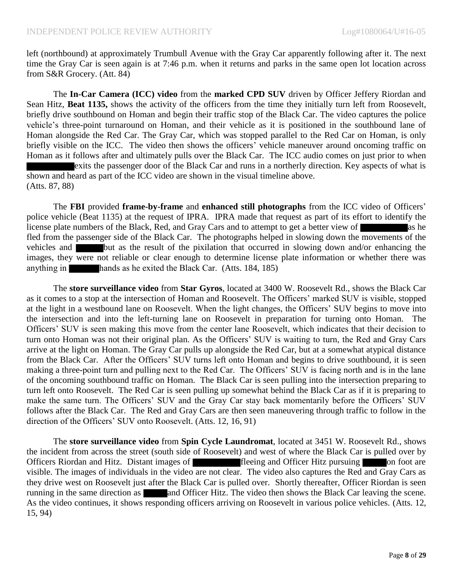left (northbound) at approximately Trumbull Avenue with the Gray Car apparently following after it. The next time the Gray Car is seen again is at 7:46 p.m. when it returns and parks in the same open lot location across from S&R Grocery. (Att. 84)

The **In-Car Camera (ICC) video** from the **marked CPD SUV** driven by Officer Jeffery Riordan and Sean Hitz, **Beat 1135,** shows the activity of the officers from the time they initially turn left from Roosevelt, briefly drive southbound on Homan and begin their traffic stop of the Black Car. The video captures the police vehicle's three-point turnaround on Homan, and their vehicle as it is positioned in the southbound lane of Homan alongside the Red Car. The Gray Car, which was stopped parallel to the Red Car on Homan, is only briefly visible on the ICC. The video then shows the officers' vehicle maneuver around oncoming traffic on Homan as it follows after and ultimately pulls over the Black Car. The ICC audio comes on just prior to when exits the passenger door of the Black Car and runs in a northerly direction. Key aspects of what is shown and heard as part of the ICC video are shown in the visual timeline above. (Atts. 87, 88)

The **FBI** provided **frame-by-frame** and **enhanced still photographs** from the ICC video of Officers' police vehicle (Beat 1135) at the request of IPRA. IPRA made that request as part of its effort to identify the license plate numbers of the Black, Red, and Gray Cars and to attempt to get a better view of as he as he fled from the passenger side of the Black Car. The photographs helped in slowing down the movements of the vehicles and **but** as the result of the pixilation that occurred in slowing down and/or enhancing the images, they were not reliable or clear enough to determine license plate information or whether there was anything in hands as he exited the Black Car. (Atts. 184, 185)

The **store surveillance video** from **Star Gyros**, located at 3400 W. Roosevelt Rd., shows the Black Car as it comes to a stop at the intersection of Homan and Roosevelt. The Officers' marked SUV is visible, stopped at the light in a westbound lane on Roosevelt. When the light changes, the Officers' SUV begins to move into the intersection and into the left-turning lane on Roosevelt in preparation for turning onto Homan. The Officers' SUV is seen making this move from the center lane Roosevelt, which indicates that their decision to turn onto Homan was not their original plan. As the Officers' SUV is waiting to turn, the Red and Gray Cars arrive at the light on Homan. The Gray Car pulls up alongside the Red Car, but at a somewhat atypical distance from the Black Car. After the Officers' SUV turns left onto Homan and begins to drive southbound, it is seen making a three-point turn and pulling next to the Red Car. The Officers' SUV is facing north and is in the lane of the oncoming southbound traffic on Homan. The Black Car is seen pulling into the intersection preparing to turn left onto Roosevelt. The Red Car is seen pulling up somewhat behind the Black Car as if it is preparing to make the same turn. The Officers' SUV and the Gray Car stay back momentarily before the Officers' SUV follows after the Black Car. The Red and Gray Cars are then seen maneuvering through traffic to follow in the direction of the Officers' SUV onto Roosevelt. (Atts. 12, 16, 91)

The **store surveillance video** from **Spin Cycle Laundromat**, located at 3451 W. Roosevelt Rd., shows the incident from across the street (south side of Roosevelt) and west of where the Black Car is pulled over by Officers Riordan and Hitz. Distant images of fleeing and Officer Hitz pursuing on foot are visible. The images of individuals in the video are not clear. The video also captures the Red and Gray Cars as they drive west on Roosevelt just after the Black Car is pulled over. Shortly thereafter, Officer Riordan is seen running in the same direction as and Officer Hitz. The video then shows the Black Car leaving the scene. As the video continues, it shows responding officers arriving on Roosevelt in various police vehicles. (Atts. 12, 15, 94)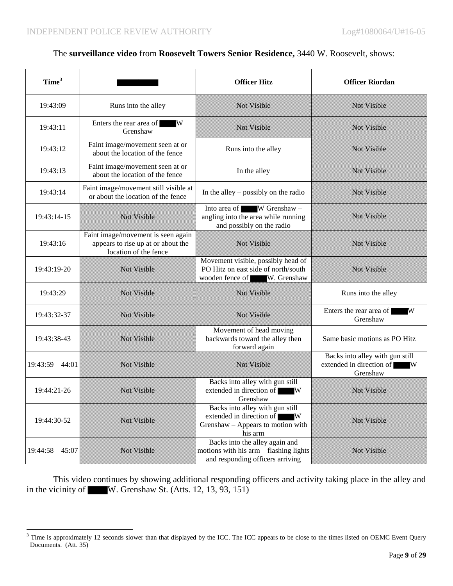$\overline{\phantom{a}}$ 

#### The **surveillance video** from **Roosevelt Towers Senior Residence,** 3440 W. Roosevelt, shows:

| Time <sup>3</sup>  |                                                                                                     | <b>Officer Hitz</b>                                                                                           | <b>Officer Riordan</b>                                                    |
|--------------------|-----------------------------------------------------------------------------------------------------|---------------------------------------------------------------------------------------------------------------|---------------------------------------------------------------------------|
| 19:43:09           | Runs into the alley                                                                                 | Not Visible                                                                                                   | Not Visible                                                               |
| 19:43:11           | Enters the rear area of WW<br>Grenshaw                                                              | Not Visible                                                                                                   | Not Visible                                                               |
| 19:43:12           | Faint image/movement seen at or<br>about the location of the fence                                  | Runs into the alley                                                                                           | Not Visible                                                               |
| 19:43:13           | Faint image/movement seen at or<br>about the location of the fence                                  | In the alley                                                                                                  | Not Visible                                                               |
| 19:43:14           | Faint image/movement still visible at<br>or about the location of the fence                         | In the alley $-$ possibly on the radio                                                                        | Not Visible                                                               |
| 19:43:14-15        | Not Visible                                                                                         | Into area of W Grenshaw -<br>angling into the area while running<br>and possibly on the radio                 | Not Visible                                                               |
| 19:43:16           | Faint image/movement is seen again<br>- appears to rise up at or about the<br>location of the fence | Not Visible                                                                                                   | Not Visible                                                               |
| 19:43:19-20        | Not Visible                                                                                         | Movement visible, possibly head of<br>PO Hitz on east side of north/south<br>wooden fence of W. Grenshaw      | Not Visible                                                               |
| 19:43:29           | Not Visible                                                                                         | Not Visible                                                                                                   | Runs into the alley                                                       |
| 19:43:32-37        | Not Visible                                                                                         | Not Visible                                                                                                   | Enters the rear area of<br>W<br>Grenshaw                                  |
| 19:43:38-43        | Not Visible                                                                                         | Movement of head moving<br>backwards toward the alley then<br>forward again                                   | Same basic motions as PO Hitz                                             |
| $19:43:59 - 44:01$ | Not Visible                                                                                         | Not Visible                                                                                                   | Backs into alley with gun still<br>extended in direction of W<br>Grenshaw |
| 19:44:21-26        | Not Visible                                                                                         | Backs into alley with gun still<br>extended in direction of W<br>Grenshaw                                     | Not Visible                                                               |
| 19:44:30-52        | Not Visible                                                                                         | Backs into alley with gun still<br>extended in direction of W<br>Grenshaw - Appears to motion with<br>his arm | Not Visible                                                               |
| $19:44:58 - 45:07$ | Not Visible                                                                                         | Backs into the alley again and<br>motions with his arm - flashing lights<br>and responding officers arriving  | Not Visible                                                               |

This video continues by showing additional responding officers and activity taking place in the alley and in the vicinity of W. Grenshaw St. (Atts. 12, 13, 93, 151)

 $3$  Time is approximately 12 seconds slower than that displayed by the ICC. The ICC appears to be close to the times listed on OEMC Event Query Documents. (Att. 35)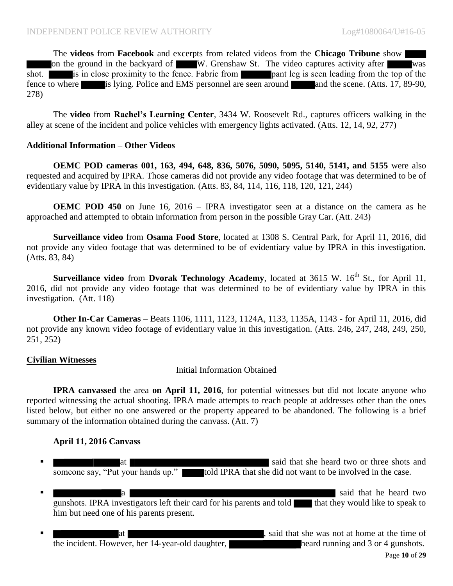The **videos** from **Facebook** and excerpts from related videos from the **Chicago Tribune** show on the ground in the backyard of W. Grenshaw St. The video captures activity after was shot. is in close proximity to the fence. Fabric from pant leg is seen leading from the top of the fence to where is lying. Police and EMS personnel are seen around and the scene. (Atts. 17, 89-90, 278)

The **video** from **Rachel's Learning Center**, 3434 W. Roosevelt Rd., captures officers walking in the alley at scene of the incident and police vehicles with emergency lights activated. (Atts. 12, 14, 92, 277)

#### **Additional Information – Other Videos**

**OEMC POD cameras 001, 163, 494, 648, 836, 5076, 5090, 5095, 5140, 5141, and 5155** were also requested and acquired by IPRA. Those cameras did not provide any video footage that was determined to be of evidentiary value by IPRA in this investigation. (Atts. 83, 84, 114, 116, 118, 120, 121, 244)

**OEMC POD 450** on June 16, 2016 – IPRA investigator seen at a distance on the camera as he approached and attempted to obtain information from person in the possible Gray Car. (Att. 243)

**Surveillance video** from **Osama Food Store**, located at 1308 S. Central Park, for April 11, 2016, did not provide any video footage that was determined to be of evidentiary value by IPRA in this investigation. (Atts. 83, 84)

**Surveillance video** from **Dvorak Technology Academy**, located at 3615 W. 16<sup>th</sup> St., for April 11, 2016, did not provide any video footage that was determined to be of evidentiary value by IPRA in this investigation. (Att. 118)

**Other In-Car Cameras** – Beats 1106, 1111, 1123, 1124A, 1133, 1135A, 1143 - for April 11, 2016, did not provide any known video footage of evidentiary value in this investigation. (Atts. 246, 247, 248, 249, 250, 251, 252)

#### **Civilian Witnesses**

# Initial Information Obtained

**IPRA canvassed** the area **on April 11, 2016**, for potential witnesses but did not locate anyone who reported witnessing the actual shooting. IPRA made attempts to reach people at addresses other than the ones listed below, but either no one answered or the property appeared to be abandoned. The following is a brief summary of the information obtained during the canvass. (Att. 7)

# **April 11, 2016 Canvass**

- **at said that she heard two or three shots and said that she heard two or three shots and said that she heard two or three shots and said that she heard two or three shots and she heard two or three shots and she heard two** someone say, "Put your hands up." told IPRA that she did not want to be involved in the case.
- a said that he heard two said that he heard two said that he heard two said that he heard two said that he heard two said that he heard two said that he heard two said that he heard two said that he heard two said that he gunshots. IPRA investigators left their card for his parents and told  $\blacksquare$  that they would like to speak to him but need one of his parents present.
- at , said that she was not at home at the time of the incident. However, her 14-year-old daughter, heard running and 3 or 4 gunshots.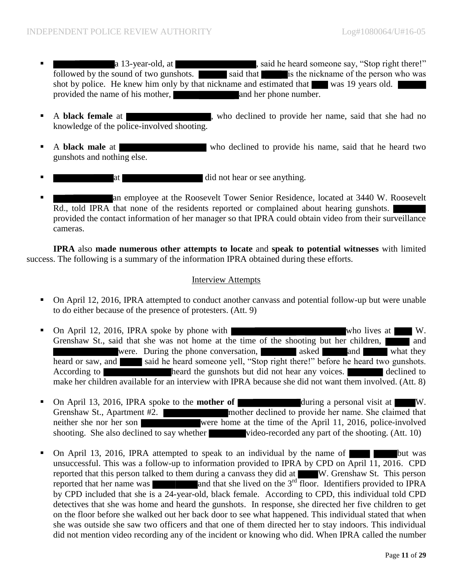- a 13-year-old, at , said he heard someone say, "Stop right there!" followed by the sound of two gunshots.  $\Box$  said that is the nickname of the person who was shot by police. He knew him only by that nickname and estimated that was 19 years old. provided the name of his mother, and her phone number.
- A **black female** at , who declined to provide her name, said that she had no knowledge of the police-involved shooting.
- A **black male** at who declined to provide his name, said that he heard two gunshots and nothing else.
- at a control did not hear or see anything.
- an employee at the Roosevelt Tower Senior Residence, located at 3440 W. Roosevelt Rd., told IPRA that none of the residents reported or complained about hearing gunshots. provided the contact information of her manager so that IPRA could obtain video from their surveillance cameras.

**IPRA** also **made numerous other attempts to locate** and **speak to potential witnesses** with limited success. The following is a summary of the information IPRA obtained during these efforts.

#### Interview Attempts

- On April 12, 2016, IPRA attempted to conduct another canvass and potential follow-up but were unable to do either because of the presence of protesters. (Att. 9)
- On April 12, 2016, IPRA spoke by phone with who lives at W. Grenshaw St., said that she was not home at the time of the shooting but her children, and were. During the phone conversation, asked and what they heard or saw, and said he heard someone yell, "Stop right there!" before he heard two gunshots. According to heard the gunshots but did not hear any voices. make her children available for an interview with IPRA because she did not want them involved. (Att. 8)
- On April 13, 2016, IPRA spoke to the **mother of during a personal visit at W.** Grenshaw St., Apartment #2. neither she nor her son were home at the time of the April 11, 2016, police-involved shooting. She also declined to say whether video-recorded any part of the shooting. (Att. 10)
- On April 13, 2016, IPRA attempted to speak to an individual by the name of but was unsuccessful. This was a follow-up to information provided to IPRA by CPD on April 11, 2016. CPD reported that this person talked to them during a canvass they did at W. Grenshaw St. This person reported that her name was  $\qquad$  and that she lived on the  $3<sup>rd</sup>$  floor. Identifiers provided to IPRA by CPD included that she is a 24-year-old, black female. According to CPD, this individual told CPD detectives that she was home and heard the gunshots. In response, she directed her five children to get on the floor before she walked out her back door to see what happened. This individual stated that when she was outside she saw two officers and that one of them directed her to stay indoors. This individual did not mention video recording any of the incident or knowing who did. When IPRA called the number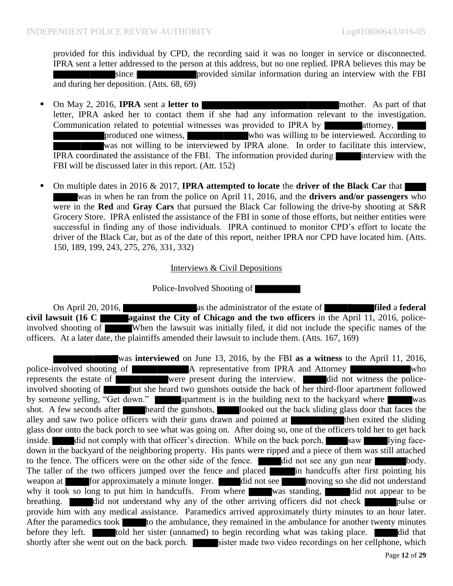provided for this individual by CPD, the recording said it was no longer in service or disconnected. IPRA sent a letter addressed to the person at this address, but no one replied. IPRA believes this may be since **provided similar information during an interview with the FBI** and during her deposition. (Atts. 68, 69)

- On May 2, 2016, **IPRA** sent a **letter to nother.** As part of that letter, IPRA asked her to contact them if she had any information relevant to the investigation. Communication related to potential witnesses was provided to IPRA by attorney, produced one witness, who was willing to be interviewed. According to was not willing to be interviewed by IPRA alone. In order to facilitate this interview, IPRA coordinated the assistance of the FBI. The information provided during interview with the FBI will be discussed later in this report. (Att. 152)
- On multiple dates in 2016 & 2017, **IPRA attempted to locate** the **driver of the Black Car** that was in when he ran from the police on April 11, 2016, and the **drivers and/or passengers** who were in the **Red** and **Gray Cars** that pursued the Black Car following the drive-by shooting at S&R Grocery Store. IPRA enlisted the assistance of the FBI in some of those efforts, but neither entities were successful in finding any of those individuals. IPRA continued to monitor CPD's effort to locate the driver of the Black Car, but as of the date of this report, neither IPRA nor CPD have located him. (Atts. 150, 189, 199, 243, 275, 276, 331, 332)

#### Interviews & Civil Depositions

Police-Involved Shooting of

On April 20, 2016, as the administrator of the estate of **filed** a **federal civil lawsuit (16 C against the City of Chicago and the two officers** in the April 11, 2016, policeinvolved shooting of When the lawsuit was initially filed, it did not include the specific names of the officers. At a later date, the plaintiffs amended their lawsuit to include them. (Atts. 167, 169)

was **interviewed** on June 13, 2016, by the FBI **as a witness** to the April 11, 2016, police-involved shooting of **A** representative from IPRA and Attorney who represents the estate of were present during the interview. did not witness the policeinvolved shooting of **but she heard two gunshots outside the back** of her third-floor apartment followed by someone yelling, "Get down." apartment is in the building next to the backyard where was shot. A few seconds after heard the gunshots, looked out the back sliding glass door that faces the alley and saw two police officers with their guns drawn and pointed at  $\qquad$  then exited the sliding glass door onto the back porch to see what was going on. After doing so, one of the officers told her to get back inside. did not comply with that officer's direction. While on the back porch, saw lying facedown in the backyard of the neighboring property. His pants were ripped and a piece of them was still attached to the fence. The officers were on the other side of the fence. **did** not see any gun near body. The taller of the two officers jumped over the fence and placed in handcuffs after first pointing his weapon at for approximately a minute longer. did not see moving so she did not understand why it took so long to put him in handcuffs. From where was standing, did not appear to be breathing. did not understand why any of the other arriving officers did not check pulse or provide him with any medical assistance. Paramedics arrived approximately thirty minutes to an hour later. After the paramedics took to the ambulance, they remained in the ambulance for another twenty minutes before they left. told her sister (unnamed) to begin recording what was taking place. shortly after she went out on the back porch. sister made two video recordings on her cellphone, which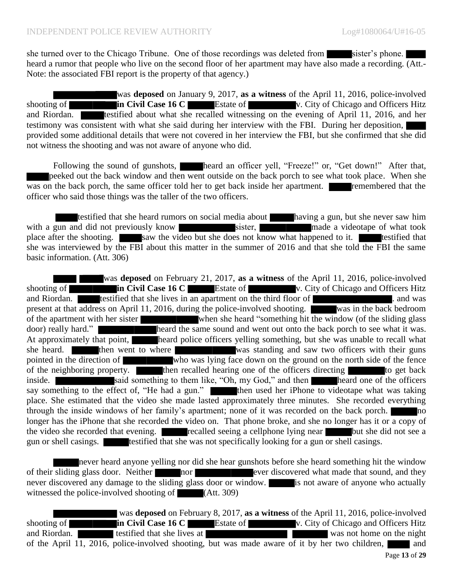she turned over to the Chicago Tribune. One of those recordings was deleted from sister's phone. heard a rumor that people who live on the second floor of her apartment may have also made a recording. (Att.-Note: the associated FBI report is the property of that agency.)

was **deposed** on January 9, 2017, **as a witness** of the April 11, 2016, police-involved shooting of **in Civil Case 16 C** Estate of v. City of Chicago and Officers Hitz and Riordan. **testified about what she recalled witnessing on the evening of April 11, 2016, and her** testimony was consistent with what she said during her interview with the FBI. During her deposition, provided some additional details that were not covered in her interview the FBI, but she confirmed that she did not witness the shooting and was not aware of anyone who did.

Following the sound of gunshots, heard an officer yell, "Freeze!" or, "Get down!" After that, peeked out the back window and then went outside on the back porch to see what took place. When she  $\overline{was}$  on the back porch, the same officer told her to get back inside her apartment. **remembered** that the officer who said those things was the taller of the two officers.

testified that she heard rumors on social media about having a gun, but she never saw him with a gun and did not previously know sister, and sixter, made a videotape of what took place after the shooting. saw the video but she does not know what happened to it. testified that she was interviewed by the FBI about this matter in the summer of 2016 and that she told the FBI the same basic information. (Att. 306)

was **deposed** on February 21, 2017, **as a witness** of the April 11, 2016, police-involved shooting of **in Civil Case 16 C** Estate of v. City of Chicago and Officers Hitz and Riordan. The testified that she lives in an apartment on the third floor of **the contact and solution** and was present at that address on April 11, 2016, during the police-involved shooting. was in the back bedroom of the apartment with her sister when she heard "something hit the window (of the sliding glass door) really hard." heard the same sound and went out onto the back porch to see what it was. At approximately that point, heard police officers yelling something, but she was unable to recall what the vasily charge of the same sound and went out once to see what it was. she heard. **then went to where was standing and saw two officers with their guns** pointed in the direction of who was lying face down on the ground on the north side of the fence of the neighboring property. then recalled hearing one of the officers directing to get back inside. Said something to them like, "Oh, my God," and then heard one of the officers say something to the effect of, "He had a gun." then used her iPhone to videotape what was taking place. She estimated that the video she made lasted approximately three minutes. She recorded everything through the inside windows of her family's apartment; none of it was recorded on the back porch. longer has the iPhone that she recorded the video on. That phone broke, and she no longer has it or a copy of the video she recorded that evening. The recalled seeing a cellphone lying near but she did not see a gun or shell casings. testified that she was not specifically looking for a gun or shell casings.

never heard anyone yelling nor did she hear gunshots before she heard something hit the window of their sliding glass door. Neither nor hor ever discovered what made that sound, and they never discovered any damage to the sliding glass door or window. is not aware of anyone who actually witnessed the police-involved shooting of  $(Att. 309)$ 

was **deposed** on February 8, 2017, **as a witness** of the April 11, 2016, police-involved shooting of **in Civil Case 16 C** Estate of v. City of Chicago and Officers Hitz and Riordan. The statified that she lives at was not home on the night of the April 11, 2016, police-involved shooting, but was made aware of it by her two children,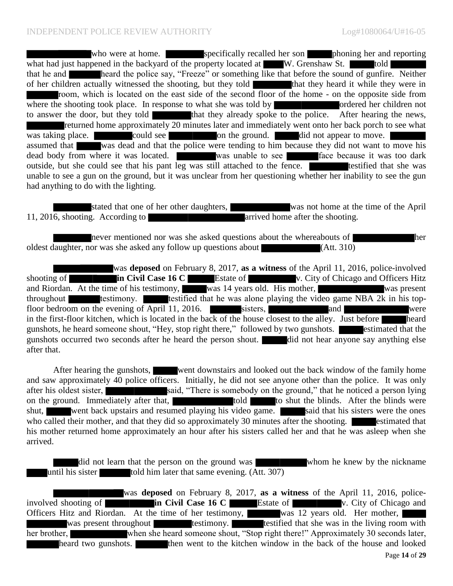who were at home. Specifically recalled her son phoning her and reporting what had just happened in the backyard of the property located at  $W$ . Grenshaw St. told that he and heard the police say, "Freeze" or something like that before the sound of gunfire. Neither of her children actually witnessed the shooting, but they told that they heard it while they were in room, which is located on the east side of the second floor of the home - on the opposite side from where the shooting took place. In response to what she was told by  $\overrightarrow{O}$  ordered her children not to answer the door, but they told that they already spoke to the police. After hearing the news, returned home approximately 20 minutes later and immediately went onto her back porch to see what was taking place.  $\blacksquare$  could see on the ground.  $\blacksquare$  did not appear to move. assumed that was dead and that the police were tending to him because they did not want to move his dead body from where it was located. Was unable to see **face** because it was too dark outside, but she could see that his pant leg was still attached to the fence. unable to see a gun on the ground, but it was unclear from her questioning whether her inability to see the gun had anything to do with the lighting.

stated that one of her other daughters, was not home at the time of the April 11, 2016, shooting. According to arrived home after the shooting.

never mentioned nor was she asked questions about the whereabouts of her oldest daughter, nor was she asked any follow up questions about (Att. 310)

was **deposed** on February 8, 2017, **as a witness** of the April 11, 2016, police-involved shooting of **in Civil Case 16 C** Estate of v. City of Chicago and Officers Hitz and Riordan. At the time of his testimony, was 14 years old. His mother, was present throughout testimony. testified that he was alone playing the video game NBA  $2k$  in his topfloor bedroom on the evening of April 11, 2016. Sisters, and and were in the first-floor kitchen, which is located in the back of the house closest to the alley. Just before heard gunshots, he heard someone shout, "Hey, stop right there," followed by two gunshots. estimated that the gunshots occurred two seconds after he heard the person shout. **did** not hear anyone say anything else after that.

After hearing the gunshots, went downstairs and looked out the back window of the family home and saw approximately 40 police officers. Initially, he did not see anyone other than the police. It was only after his oldest sister, said, "There is somebody on the ground," that he noticed a person lying on the ground. Immediately after that, to shut the blinds. After the blinds were shut, went back upstairs and resumed playing his video game. Said that his sisters were the ones who called their mother, and that they did so approximately 30 minutes after the shooting. estimated that his mother returned home approximately an hour after his sisters called her and that he was asleep when she arrived.

did not learn that the person on the ground was whom he knew by the nickname until his sister told him later that same evening.  $(Att. 307)$ 

was **deposed** on February 8, 2017, **as a witness** of the April 11, 2016, policeinvolved shooting of **in Civil Case 16 C Estate of V. City of Chicago and** Officers Hitz and Riordan. At the time of her testimony, was 12 years old. Her mother, was present throughout testimony. testified that she was in the living room with her brother, when she heard someone shout, "Stop right there!" Approximately 30 seconds later, heard two gunshots. **then** went to the kitchen window in the back of the house and looked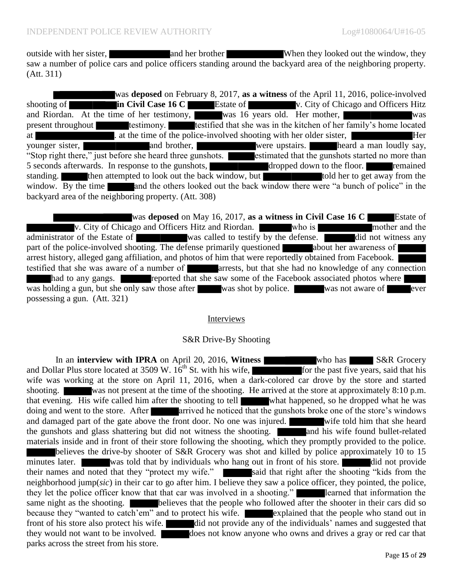outside with her sister, and her brother When they looked out the window, they saw a number of police cars and police officers standing around the backyard area of the neighboring property. (Att. 311)

was **deposed** on February 8, 2017, **as a witness** of the April 11, 2016, police-involved shooting of **in Civil Case 16 C** Estate of v. City of Chicago and Officers Hitz and Riordan. At the time of her testimony, was 16 years old. Her mother, was present throughout testimony. testified that she was in the kitchen of her family's home located at . at the time of the police-involved shooting with her older sister, younger sister, and brother, were upstairs. heard a man loudly say, "Stop right there," just before she heard three gunshots. estimated that the gunshots started no more than 5 seconds afterwards. In response to the gunshots, dropped down to the floor. The remained standing. Then attempted to look out the back window, but the to get away from the window. By the time and the others looked out the back window there were "a bunch of police" in the backyard area of the neighboring property. (Att. 308)

was **deposed** on May 16, 2017, **as a witness in Civil Case 16 C** Estate of v. City of Chicago and Officers Hitz and Riordan. Who is mother and the administrator of the Estate of was called to testify by the defense. did not witness any part of the police-involved shooting. The defense primarily questioned about her awareness of arrest history, alleged gang affiliation, and photos of him that were reportedly obtained from Facebook. testified that she was aware of a number of **a number** of **a** arrests, but that she had no knowledge of any connection had to any gangs. **reported that she saw some of the Facebook associated photos where** was holding a gun, but she only saw those after was shot by police. Was not aware of ever possessing a gun. (Att. 321)

#### Interviews

#### S&R Drive-By Shooting

In an **interview with IPRA** on April 20, 2016, **Witness Witness who has S&R** Grocery and Dollar Plus store located at 3509 W.  $16<sup>th</sup>$  St. with his wife, for the past five years, said that his wife was working at the store on April 11, 2016, when a dark-colored car drove by the store and started shooting. was not present at the time of the shooting. He arrived at the store at approximately 8:10 p.m. that evening. His wife called him after the shooting to tell what happened, so he dropped what he was doing and went to the store. After arrived he noticed that the gunshots broke one of the store's windows and damaged part of the gate above the front door. No one was injured. Write told him that she heard the gunshots and glass shattering but did not witness the shooting. The and his wife found bullet-related materials inside and in front of their store following the shooting, which they promptly provided to the police. believes the drive-by shooter of S&R Grocery was shot and killed by police approximately 10 to 15 minutes later. was told that by individuals who hang out in front of his store. did not provide their names and noted that they "protect my wife." said that right after the shooting "kids from the neighborhood jump(*sic*) in their car to go after him. I believe they saw a police officer, they pointed, the police, they let the police officer know that that car was involved in a shooting." learned that information the same night as the shooting. **believes that the people who followed after the shooter in their cars did so** because they "wanted to catch'em" and to protect his wife. explained that the people who stand out in front of his store also protect his wife. did not provide any of the individuals' names and suggested that they would not want to be involved. does not know anyone who owns and drives a gray or red car that parks across the street from his store.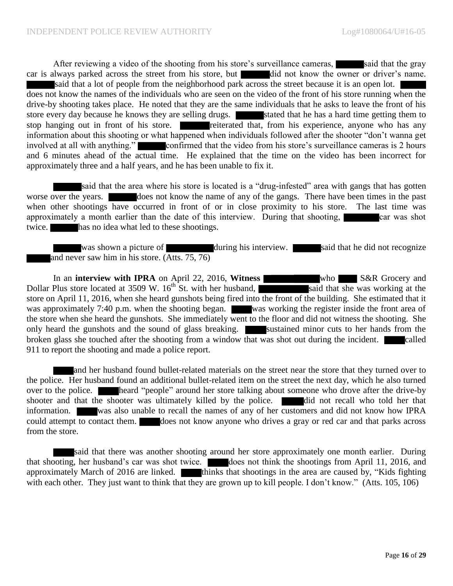After reviewing a video of the shooting from his store's surveillance cameras, said that the gray car is always parked across the street from his store, but did not know the owner or driver's name. said that a lot of people from the neighborhood park across the street because it is an open lot. does not know the names of the individuals who are seen on the video of the front of his store running when the drive-by shooting takes place. He noted that they are the same individuals that he asks to leave the front of his store every day because he knows they are selling drugs. Stated that he has a hard time getting them to stop hanging out in front of his store. reiterated that, from his experience, anyone who has any information about this shooting or what happened when individuals followed after the shooter "don't wanna get involved at all with anything." confirmed that the video from his store's surveillance cameras is 2 hours and 6 minutes ahead of the actual time. He explained that the time on the video has been incorrect for approximately three and a half years, and he has been unable to fix it.

said that the area where his store is located is a "drug-infested" area with gangs that has gotten worse over the years. does not know the name of any of the gangs. There have been times in the past when other shootings have occurred in front of or in close proximity to his store. The last time was approximately a month earlier than the date of this interview. During that shooting, car was shot twice. has no idea what led to these shootings.

was shown a picture of during his interview. Said that he did not recognize and never saw him in his store. (Atts. 75, 76)

In an **interview with IPRA** on April 22, 2016, **Witness Example 19 S&R** Grocery and Dollar Plus store located at 3509 W.  $16<sup>th</sup>$  St. with her husband, said that she was working at the store on April 11, 2016, when she heard gunshots being fired into the front of the building. She estimated that it was approximately 7:40 p.m. when the shooting began. was working the register inside the front area of the store when she heard the gunshots. She immediately went to the floor and did not witness the shooting. She only heard the gunshots and the sound of glass breaking. Sustained minor cuts to her hands from the broken glass she touched after the shooting from a window that was shot out during the incident. 911 to report the shooting and made a police report.

and her husband found bullet-related materials on the street near the store that they turned over to the police. Her husband found an additional bullet-related item on the street the next day, which he also turned over to the police. **heard "people" around her store talking about someone who drove after the drive-by** shooter and that the shooter was ultimately killed by the police. <br>did not recall who told her that information. was also unable to recall the names of any of her customers and did not know how IPRA could attempt to contact them. does not know anyone who drives a gray or red car and that parks across from the store.

said that there was another shooting around her store approximately one month earlier. During that shooting, her husband's car was shot twice. does not think the shootings from April 11, 2016, and approximately March of 2016 are linked. thinks that shootings in the area are caused by, "Kids fighting with each other. They just want to think that they are grown up to kill people. I don't know." (Atts. 105, 106)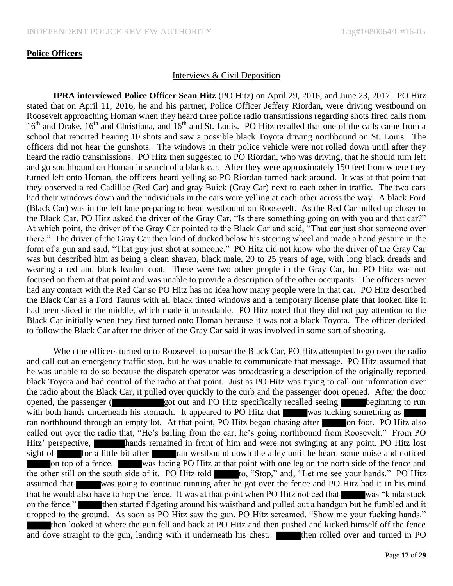#### **Police Officers**

#### Interviews & Civil Deposition

**IPRA interviewed Police Officer Sean Hitz** (PO Hitz) on April 29, 2016, and June 23, 2017. PO Hitz stated that on April 11, 2016, he and his partner, Police Officer Jeffery Riordan, were driving westbound on Roosevelt approaching Homan when they heard three police radio transmissions regarding shots fired calls from 16<sup>th</sup> and Drake, 16<sup>th</sup> and Christiana, and 16<sup>th</sup> and St. Louis. PO Hitz recalled that one of the calls came from a school that reported hearing 10 shots and saw a possible black Toyota driving northbound on St. Louis. The officers did not hear the gunshots. The windows in their police vehicle were not rolled down until after they heard the radio transmissions. PO Hitz then suggested to PO Riordan, who was driving, that he should turn left and go southbound on Homan in search of a black car. After they were approximately 150 feet from where they turned left onto Homan, the officers heard yelling so PO Riordan turned back around. It was at that point that they observed a red Cadillac (Red Car) and gray Buick (Gray Car) next to each other in traffic. The two cars had their windows down and the individuals in the cars were yelling at each other across the way. A black Ford (Black Car) was in the left lane preparing to head westbound on Roosevelt. As the Red Car pulled up closer to the Black Car, PO Hitz asked the driver of the Gray Car, "Is there something going on with you and that car?" At which point, the driver of the Gray Car pointed to the Black Car and said, "That car just shot someone over there." The driver of the Gray Car then kind of ducked below his steering wheel and made a hand gesture in the form of a gun and said, "That guy just shot at someone." PO Hitz did not know who the driver of the Gray Car was but described him as being a clean shaven, black male, 20 to 25 years of age, with long black dreads and wearing a red and black leather coat. There were two other people in the Gray Car, but PO Hitz was not focused on them at that point and was unable to provide a description of the other occupants. The officers never had any contact with the Red Car so PO Hitz has no idea how many people were in that car. PO Hitz described the Black Car as a Ford Taurus with all black tinted windows and a temporary license plate that looked like it had been sliced in the middle, which made it unreadable. PO Hitz noted that they did not pay attention to the Black Car initially when they first turned onto Homan because it was not a black Toyota. The officer decided to follow the Black Car after the driver of the Gray Car said it was involved in some sort of shooting.

When the officers turned onto Roosevelt to pursue the Black Car, PO Hitz attempted to go over the radio and call out an emergency traffic stop, but he was unable to communicate that message. PO Hitz assumed that he was unable to do so because the dispatch operator was broadcasting a description of the originally reported black Toyota and had control of the radio at that point. Just as PO Hitz was trying to call out information over the radio about the Black Car, it pulled over quickly to the curb and the passenger door opened. After the door opened, the passenger (got out and PO Hitz specifically recalled seeing beginning to run with both hands underneath his stomach. It appeared to PO Hitz that was tucking something as ran northbound through an empty lot. At that point, PO Hitz began chasing after on foot. PO Hitz also called out over the radio that, "He's bailing from the car, he's going northbound from Roosevelt." From PO Hitz' perspective, hands remained in front of him and were not swinging at any point. PO Hitz lost sight of **for** a little bit after **ran westbound down the alley until he heard some noise and noticed** on top of a fence. was facing PO Hitz at that point with one leg on the north side of the fence and the other still on the south side of it. PO Hitz told to, "Stop," and, "Let me see your hands." PO Hitz assumed that was going to continue running after he got over the fence and PO Hitz had it in his mind that he would also have to hop the fence. It was at that point when PO Hitz noticed that was "kinda stuck on the fence." then started fidgeting around his waistband and pulled out a handgun but he fumbled and it dropped to the ground. As soon as PO Hitz saw the gun, PO Hitz screamed, "Show me your fucking hands." then looked at where the gun fell and back at PO Hitz and then pushed and kicked himself off the fence and dove straight to the gun, landing with it underneath his chest. **then** rolled over and turned in PO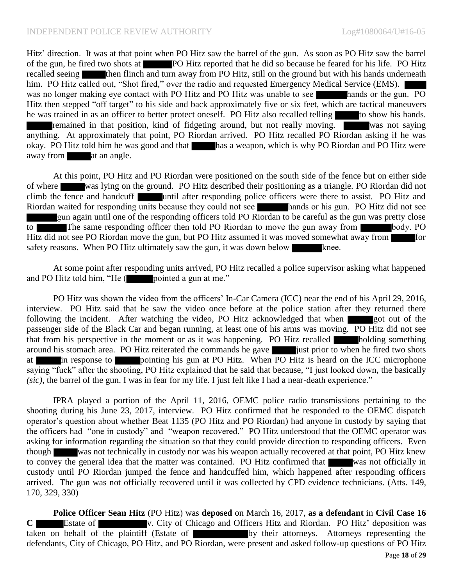Hitz' direction. It was at that point when PO Hitz saw the barrel of the gun. As soon as PO Hitz saw the barrel of the gun, he fired two shots at PO Hitz reported that he did so because he feared for his life. PO Hitz recalled seeing then flinch and turn away from PO Hitz, still on the ground but with his hands underneath him. PO Hitz called out, "Shot fired," over the radio and requested Emergency Medical Service (EMS). was no longer making eye contact with PO Hitz and PO Hitz was unable to see hands or the gun. PO Hitz then stepped "off target" to his side and back approximately five or six feet, which are tactical maneuvers he was trained in as an officer to better protect oneself. PO Hitz also recalled telling to show his hands. remained in that position, kind of fidgeting around, but not really moving. was not saying anything. At approximately that point, PO Riordan arrived. PO Hitz recalled PO Riordan asking if he was okay. PO Hitz told him he was good and that has a weapon, which is why PO Riordan and PO Hitz were away from at an angle.

At this point, PO Hitz and PO Riordan were positioned on the south side of the fence but on either side of where was lying on the ground. PO Hitz described their positioning as a triangle. PO Riordan did not climb the fence and handcuff until after responding police officers were there to assist. PO Hitz and Riordan waited for responding units because they could not see hands or his gun. PO Hitz did not see gun again until one of the responding officers told PO Riordan to be careful as the gun was pretty close to The same responding officer then told PO Riordan to move the gun away from body. PO Hitz did not see PO Riordan move the gun, but PO Hitz assumed it was moved somewhat away from for safety reasons. When PO Hitz ultimately saw the gun, it was down below knee.

At some point after responding units arrived, PO Hitz recalled a police supervisor asking what happened and PO Hitz told him, "He  $($  pointed a gun at me."

PO Hitz was shown the video from the officers' In-Car Camera (ICC) near the end of his April 29, 2016, interview. PO Hitz said that he saw the video once before at the police station after they returned there following the incident. After watching the video, PO Hitz acknowledged that when got out of the passenger side of the Black Car and began running, at least one of his arms was moving. PO Hitz did not see that from his perspective in the moment or as it was happening. PO Hitz recalled holding something around his stomach area. PO Hitz reiterated the commands he gave just prior to when he fired two shots at in response to pointing his gun at PO Hitz. When PO Hitz is heard on the ICC microphone saying "fuck" after the shooting, PO Hitz explained that he said that because, "I just looked down, the basically *(sic)*, the barrel of the gun. I was in fear for my life. I just felt like I had a near-death experience."

IPRA played a portion of the April 11, 2016, OEMC police radio transmissions pertaining to the shooting during his June 23, 2017, interview. PO Hitz confirmed that he responded to the OEMC dispatch operator's question about whether Beat 1135 (PO Hitz and PO Riordan) had anyone in custody by saying that the officers had "one in custody" and "weapon recovered." PO Hitz understood that the OEMC operator was asking for information regarding the situation so that they could provide direction to responding officers. Even though was not technically in custody nor was his weapon actually recovered at that point, PO Hitz knew to convey the general idea that the matter was contained. PO Hitz confirmed that was not officially in custody until PO Riordan jumped the fence and handcuffed him, which happened after responding officers arrived. The gun was not officially recovered until it was collected by CPD evidence technicians. (Atts. 149, 170, 329, 330)

**Police Officer Sean Hitz** (PO Hitz) was **deposed** on March 16, 2017, **as a defendant** in **Civil Case 16 C** Estate of v. City of Chicago and Officers Hitz and Riordan. PO Hitz' deposition was taken on behalf of the plaintiff (Estate of by their attorneys. Attorneys representing the defendants, City of Chicago, PO Hitz, and PO Riordan, were present and asked follow-up questions of PO Hitz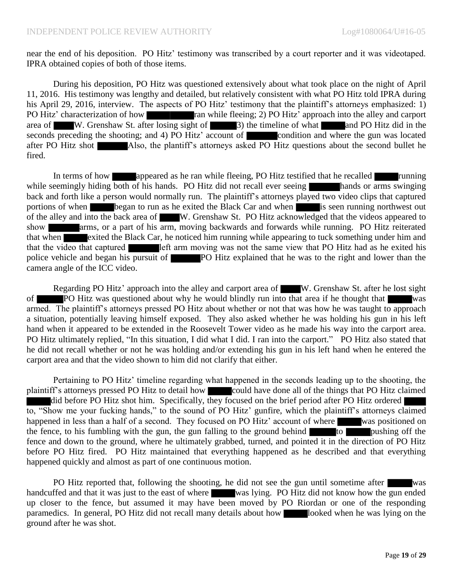near the end of his deposition. PO Hitz' testimony was transcribed by a court reporter and it was videotaped. IPRA obtained copies of both of those items.

During his deposition, PO Hitz was questioned extensively about what took place on the night of April 11, 2016. His testimony was lengthy and detailed, but relatively consistent with what PO Hitz told IPRA during his April 29, 2016, interview. The aspects of PO Hitz' testimony that the plaintiff's attorneys emphasized: 1) PO Hitz' characterization of how ran while fleeing; 2) PO Hitz' approach into the alley and carport area of W. Grenshaw St. after losing sight of  $\begin{bmatrix} 3 \end{bmatrix}$  the timeline of what and PO Hitz did in the seconds preceding the shooting; and 4) PO Hitz' account of condition and where the gun was located after PO Hitz shot Also, the plantiff's attorneys asked PO Hitz questions about the second bullet he fired.

In terms of how appeared as he ran while fleeing, PO Hitz testified that he recalled running while seemingly hiding both of his hands. PO Hitz did not recall ever seeing hands or arms swinging back and forth like a person would normally run. The plaintiff's attorneys played two video clips that captured portions of when began to run as he exited the Black Car and when is seen running northwest out of the alley and into the back area of W. Grenshaw St. PO Hitz acknowledged that the videos appeared to show arms, or a part of his arm, moving backwards and forwards while running. PO Hitz reiterated that when exited the Black Car, he noticed him running while appearing to tuck something under him and that the video that captured left arm moving was not the same view that PO Hitz had as he exited his police vehicle and began his pursuit of **PO** Hitz explained that he was to the right and lower than the camera angle of the ICC video.

Regarding PO Hitz' approach into the alley and carport area of W. Grenshaw St. after he lost sight of PO Hitz was questioned about why he would blindly run into that area if he thought that was armed. The plaintiff's attorneys pressed PO Hitz about whether or not that was how he was taught to approach a situation, potentially leaving himself exposed. They also asked whether he was holding his gun in his left hand when it appeared to be extended in the Roosevelt Tower video as he made his way into the carport area. PO Hitz ultimately replied, "In this situation, I did what I did. I ran into the carport." PO Hitz also stated that he did not recall whether or not he was holding and/or extending his gun in his left hand when he entered the carport area and that the video shown to him did not clarify that either.

Pertaining to PO Hitz' timeline regarding what happened in the seconds leading up to the shooting, the plaintiff's attorneys pressed PO Hitz to detail how could have done all of the things that PO Hitz claimed did before PO Hitz shot him. Specifically, they focused on the brief period after PO Hitz ordered to, "Show me your fucking hands," to the sound of PO Hitz' gunfire, which the plaintiff's attorneys claimed happened in less than a half of a second. They focused on PO Hitz' account of where was positioned on the fence, to his fumbling with the gun, the gun falling to the ground behind  $\overline{a}$  to pushing off the fence and down to the ground, where he ultimately grabbed, turned, and pointed it in the direction of PO Hitz before PO Hitz fired. PO Hitz maintained that everything happened as he described and that everything happened quickly and almost as part of one continuous motion.

PO Hitz reported that, following the shooting, he did not see the gun until sometime after was handcuffed and that it was just to the east of where was lying. PO Hitz did not know how the gun ended up closer to the fence, but assumed it may have been moved by PO Riordan or one of the responding paramedics. In general, PO Hitz did not recall many details about how looked when he was lying on the ground after he was shot.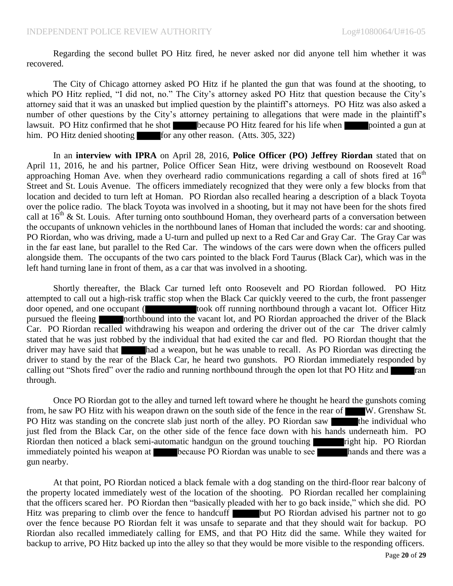Regarding the second bullet PO Hitz fired, he never asked nor did anyone tell him whether it was recovered.

The City of Chicago attorney asked PO Hitz if he planted the gun that was found at the shooting, to which PO Hitz replied, "I did not, no." The City's attorney asked PO Hitz that question because the City's attorney said that it was an unasked but implied question by the plaintiff's attorneys. PO Hitz was also asked a number of other questions by the City's attorney pertaining to allegations that were made in the plaintiff's lawsuit. PO Hitz confirmed that he shot because PO Hitz feared for his life when pointed a gun at him. PO Hitz denied shooting for any other reason. (Atts. 305, 322)

In an **interview with IPRA** on April 28, 2016, **Police Officer (PO) Jeffrey Riordan** stated that on April 11, 2016, he and his partner, Police Officer Sean Hitz, were driving westbound on Roosevelt Road approaching Homan Ave. when they overheard radio communications regarding a call of shots fired at  $16<sup>th</sup>$ Street and St. Louis Avenue. The officers immediately recognized that they were only a few blocks from that location and decided to turn left at Homan. PO Riordan also recalled hearing a description of a black Toyota over the police radio. The black Toyota was involved in a shooting, but it may not have been for the shots fired call at  $16<sup>th</sup>$  & St. Louis. After turning onto southbound Homan, they overheard parts of a conversation between the occupants of unknown vehicles in the northbound lanes of Homan that included the words: car and shooting. PO Riordan, who was driving, made a U-turn and pulled up next to a Red Car and Gray Car. The Gray Car was in the far east lane, but parallel to the Red Car. The windows of the cars were down when the officers pulled alongside them. The occupants of the two cars pointed to the black Ford Taurus (Black Car), which was in the left hand turning lane in front of them, as a car that was involved in a shooting.

Shortly thereafter, the Black Car turned left onto Roosevelt and PO Riordan followed. PO Hitz attempted to call out a high-risk traffic stop when the Black Car quickly veered to the curb, the front passenger door opened, and one occupant (**the set of the set of the set of running northbound through a vacant lot.** Officer Hitz pursued the fleeing northbound into the vacant lot, and PO Riordan approached the driver of the Black Car. PO Riordan recalled withdrawing his weapon and ordering the driver out of the car The driver calmly stated that he was just robbed by the individual that had exited the car and fled. PO Riordan thought that the driver may have said that had a weapon, but he was unable to recall. As PO Riordan was directing the driver to stand by the rear of the Black Car, he heard two gunshots. PO Riordan immediately responded by calling out "Shots fired" over the radio and running northbound through the open lot that PO Hitz and ran through.

Once PO Riordan got to the alley and turned left toward where he thought he heard the gunshots coming from, he saw PO Hitz with his weapon drawn on the south side of the fence in the rear of W. Grenshaw St. PO Hitz was standing on the concrete slab just north of the alley. PO Riordan saw the individual who just fled from the Black Car, on the other side of the fence face down with his hands underneath him. PO Riordan then noticed a black semi-automatic handgun on the ground touching right hip. PO Riordan immediately pointed his weapon at because PO Riordan was unable to see hands and there was a gun nearby.

At that point, PO Riordan noticed a black female with a dog standing on the third-floor rear balcony of the property located immediately west of the location of the shooting. PO Riordan recalled her complaining that the officers scared her. PO Riordan then "basically pleaded with her to go back inside," which she did. PO Hitz was preparing to climb over the fence to handcuff but PO Riordan advised his partner not to go over the fence because PO Riordan felt it was unsafe to separate and that they should wait for backup. PO Riordan also recalled immediately calling for EMS, and that PO Hitz did the same. While they waited for backup to arrive, PO Hitz backed up into the alley so that they would be more visible to the responding officers.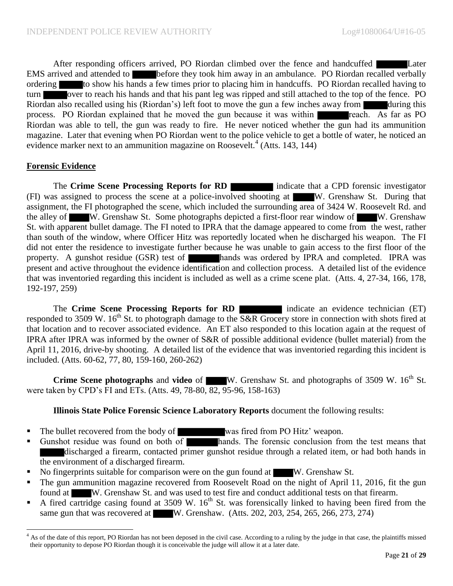After responding officers arrived, PO Riordan climbed over the fence and handcuffed Later EMS arrived and attended to **before they took him away in an ambulance.** PO Riordan recalled verbally ordering to show his hands a few times prior to placing him in handcuffs. PO Riordan recalled having to turn over to reach his hands and that his pant leg was ripped and still attached to the top of the fence. PO Riordan also recalled using his (Riordan's) left foot to move the gun a few inches away from during this process. PO Riordan explained that he moved the gun because it was within reach. As far as PO Riordan was able to tell, the gun was ready to fire. He never noticed whether the gun had its ammunition magazine. Later that evening when PO Riordan went to the police vehicle to get a bottle of water, he noticed an evidence marker next to an ammunition magazine on Roosevelt.<sup>4</sup> (Atts. 143, 144)

### **Forensic Evidence**

 $\overline{\phantom{a}}$ 

The **Crime Scene Processing Reports for RD** indicate that a CPD forensic investigator (FI) was assigned to process the scene at a police-involved shooting at W. Grenshaw St. During that assignment, the FI photographed the scene, which included the surrounding area of 3424 W. Roosevelt Rd. and the alley of W. Grenshaw St. Some photographs depicted a first-floor rear window of W. Grenshaw St. with apparent bullet damage. The FI noted to IPRA that the damage appeared to come from the west, rather than south of the window, where Officer Hitz was reportedly located when he discharged his weapon. The FI did not enter the residence to investigate further because he was unable to gain access to the first floor of the property. A gunshot residue (GSR) test of hands was ordered by IPRA and completed. IPRA was present and active throughout the evidence identification and collection process. A detailed list of the evidence that was inventoried regarding this incident is included as well as a crime scene plat. (Atts. 4, 27-34, 166, 178, 192-197, 259)

The **Crime Scene Processing Reports for RD** indicate an evidence technician (ET) responded to 3509 W. 16<sup>th</sup> St. to photograph damage to the  $S\&R$  Grocery store in connection with shots fired at that location and to recover associated evidence. An ET also responded to this location again at the request of IPRA after IPRA was informed by the owner of S&R of possible additional evidence (bullet material) from the April 11, 2016, drive-by shooting. A detailed list of the evidence that was inventoried regarding this incident is included. (Atts. 60-62, 77, 80, 159-160, 260-262)

**Crime Scene photographs** and **video** of W. Grenshaw St. and photographs of 3509 W. 16<sup>th</sup> St. were taken by CPD's FI and ETs. (Atts. 49, 78-80, 82, 95-96, 158-163)

### **Illinois State Police Forensic Science Laboratory Reports** document the following results:

- The bullet recovered from the body of was fired from PO Hitz' weapon.
- Gunshot residue was found on both of hands. The forensic conclusion from the test means that discharged a firearm, contacted primer gunshot residue through a related item, or had both hands in the environment of a discharged firearm.
- No fingerprints suitable for comparison were on the gun found at W. Grenshaw St.
- The gun ammunition magazine recovered from Roosevelt Road on the night of April 11, 2016, fit the gun found at W. Grenshaw St. and was used to test fire and conduct additional tests on that firearm.
- A fired cartridge casing found at  $3509 \text{ W}$ .  $16^{\text{th}}$  St. was forensically linked to having been fired from the same gun that was recovered at W. Grenshaw. (Atts. 202, 203, 254, 265, 266, 273, 274)

 $4$  As of the date of this report, PO Riordan has not been deposed in the civil case. According to a ruling by the judge in that case, the plaintiffs missed their opportunity to depose PO Riordan though it is conceivable the judge will allow it at a later date.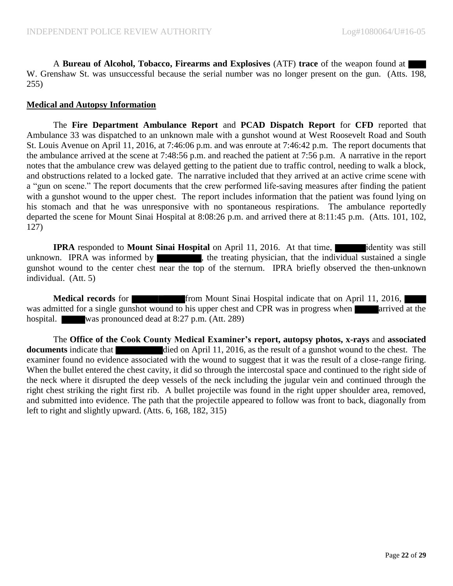A **Bureau of Alcohol, Tobacco, Firearms and Explosives** (ATF) **trace** of the weapon found at W. Grenshaw St. was unsuccessful because the serial number was no longer present on the gun. (Atts. 198, 255)

#### **Medical and Autopsy Information**

The **Fire Department Ambulance Report** and **PCAD Dispatch Report** for **CFD** reported that Ambulance 33 was dispatched to an unknown male with a gunshot wound at West Roosevelt Road and South St. Louis Avenue on April 11, 2016, at 7:46:06 p.m. and was enroute at 7:46:42 p.m. The report documents that the ambulance arrived at the scene at 7:48:56 p.m. and reached the patient at 7:56 p.m. A narrative in the report notes that the ambulance crew was delayed getting to the patient due to traffic control, needing to walk a block, and obstructions related to a locked gate. The narrative included that they arrived at an active crime scene with a "gun on scene." The report documents that the crew performed life-saving measures after finding the patient with a gunshot wound to the upper chest. The report includes information that the patient was found lying on his stomach and that he was unresponsive with no spontaneous respirations. The ambulance reportedly departed the scene for Mount Sinai Hospital at 8:08:26 p.m. and arrived there at 8:11:45 p.m. (Atts. 101, 102, 127)

**IPRA** responded to **Mount Sinai Hospital** on April 11, 2016. At that time, identity was still unknown. IPRA was informed by  $\blacksquare$ , the treating physician, that the individual sustained a single gunshot wound to the center chest near the top of the sternum. IPRA briefly observed the then-unknown individual. (Att. 5)

**Medical records** for **from Mount Sinai Hospital indicate that on April 11, 2016, I** was admitted for a single gunshot wound to his upper chest and CPR was in progress when arrived at the hospital. was pronounced dead at 8:27 p.m. (Att. 289)

The **Office of the Cook County Medical Examiner's report, autopsy photos, x-rays** and **associated documents** indicate that died on April 11, 2016, as the result of a gunshot wound to the chest. The examiner found no evidence associated with the wound to suggest that it was the result of a close-range firing. When the bullet entered the chest cavity, it did so through the intercostal space and continued to the right side of the neck where it disrupted the deep vessels of the neck including the jugular vein and continued through the right chest striking the right first rib. A bullet projectile was found in the right upper shoulder area, removed, and submitted into evidence. The path that the projectile appeared to follow was front to back, diagonally from left to right and slightly upward. (Atts. 6, 168, 182, 315)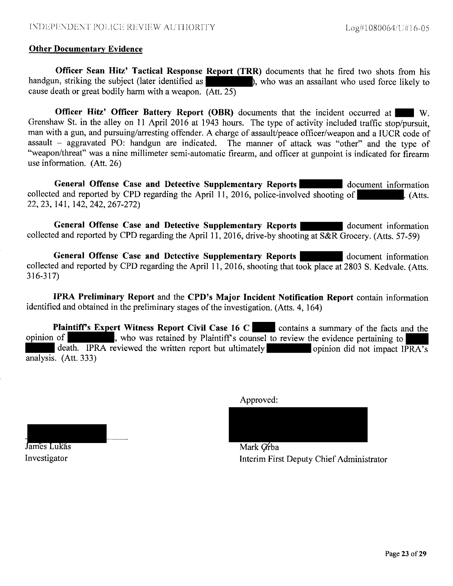#### **Other Documentary Evidence**

Officer Sean Hitz' Tactical Response Report (TRR) documents that he fired two shots from his handgun, striking the subject (later identified as ), who was an assailant who used force likely to cause death or great bodily harm with a weapon.  $(Att, 25)$ 

**Officer Hitz' Officer Battery Report (OBR)** documents that the incident occurred at  $\mathbf{W}$ Grenshaw St. in the alley on 11 April 2016 at 1943 hours. The type of activity included traffic stop/pursuit, man with a gun, and pursuing/arresting offender. A charge of assault/peace officer/weapon and a IUCR code of assault - aggravated PO: handgun are indicated. The manner of attack was "other" and the type of "weapon/threat" was a nine millimeter semi-automatic firearm, and officer at gunpoint is indicated for firearm use information. (Att. 26)

General Offense Case and Detective Supplementary Reports document information collected and reported by CPD regarding the April 11, 2016, police-involved shooting of  $A$ tts. 22, 23, 141, 142, 242, 267-272)

General Offense Case and Detective Supplementary Reports document information collected and reported by CPD regarding the April 11, 2016, drive-by shooting at  $S\&R$  Grocery. (Atts. 57-59)

General Offense Case and Detective Supplementary Reports document information collected and reported by CPD regarding the April 11, 2016, shooting that took place at 2803 S. Kedvale. (Atts.  $316 - 317$ 

IPRA Preliminary Report and the CPD's Major Incident Notification Report contain information identified and obtained in the preliminary stages of the investigation. (Atts. 4, 164)

**Plaintiff's Expert Witness Report Civil Case 16 C** contains a summary of the facts and the opinion of , who was retained by Plaintiff's counsel to review the evidence pertaining to death. IPRA reviewed the written report but ultimately opinion did not impact IPRA's analysis. (Att. 333)

Approved:

James Lukás Investigator

Mark Grba Interim First Deputy Chief Administrator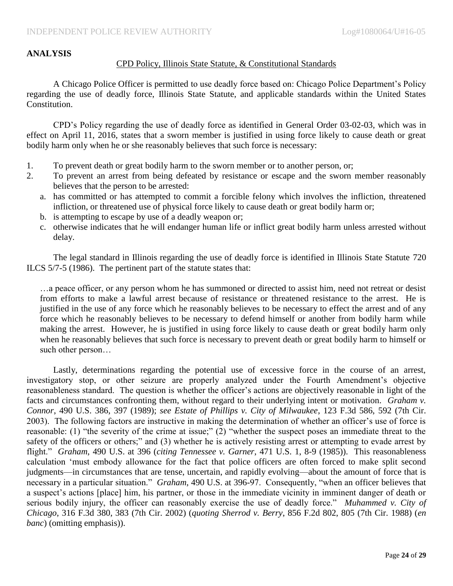# **ANALYSIS**

#### CPD Policy, Illinois State Statute, & Constitutional Standards

A Chicago Police Officer is permitted to use deadly force based on: Chicago Police Department's Policy regarding the use of deadly force, Illinois State Statute, and applicable standards within the United States Constitution.

CPD's Policy regarding the use of deadly force as identified in General Order 03-02-03, which was in effect on April 11, 2016, states that a sworn member is justified in using force likely to cause death or great bodily harm only when he or she reasonably believes that such force is necessary:

- 1. To prevent death or great bodily harm to the sworn member or to another person, or;
- 2. To prevent an arrest from being defeated by resistance or escape and the sworn member reasonably believes that the person to be arrested:
	- a. has committed or has attempted to commit a forcible felony which involves the infliction, threatened infliction, or threatened use of physical force likely to cause death or great bodily harm or;
	- b. is attempting to escape by use of a deadly weapon or;
	- c. otherwise indicates that he will endanger human life or inflict great bodily harm unless arrested without delay.

The legal standard in Illinois regarding the use of deadly force is identified in Illinois State Statute 720 ILCS 5/7-5 (1986). The pertinent part of the statute states that:

…a peace officer, or any person whom he has summoned or directed to assist him, need not retreat or desist from efforts to make a lawful arrest because of resistance or threatened resistance to the arrest. He is justified in the use of any force which he reasonably believes to be necessary to effect the arrest and of any force which he reasonably believes to be necessary to defend himself or another from bodily harm while making the arrest. However, he is justified in using force likely to cause death or great bodily harm only when he reasonably believes that such force is necessary to prevent death or great bodily harm to himself or such other person…

Lastly, determinations regarding the potential use of excessive force in the course of an arrest, investigatory stop, or other seizure are properly analyzed under the Fourth Amendment's objective reasonableness standard. The question is whether the officer's actions are objectively reasonable in light of the facts and circumstances confronting them, without regard to their underlying intent or motivation. *Graham v. Connor*, 490 U.S. 386, 397 (1989); *see Estate of Phillips v. City of Milwaukee*, 123 F.3d 586, 592 (7th Cir. 2003). The following factors are instructive in making the determination of whether an officer's use of force is reasonable: (1) "the severity of the crime at issue;" (2) "whether the suspect poses an immediate threat to the safety of the officers or others;" and (3) whether he is actively resisting arrest or attempting to evade arrest by flight." *Graham*, 490 U.S. at 396 (*citing Tennessee v. Garner*, 471 U.S. 1, 8-9 (1985)). This reasonableness calculation 'must embody allowance for the fact that police officers are often forced to make split second judgments—in circumstances that are tense, uncertain, and rapidly evolving—about the amount of force that is necessary in a particular situation." *Graham*, 490 U.S. at 396-97. Consequently, "when an officer believes that a suspect's actions [place] him, his partner, or those in the immediate vicinity in imminent danger of death or serious bodily injury, the officer can reasonably exercise the use of deadly force." *Muhammed v. City of Chicago*, 316 F.3d 380, 383 (7th Cir. 2002) (*quoting Sherrod v. Berry*, 856 F.2d 802, 805 (7th Cir. 1988) (*en banc*) (omitting emphasis)).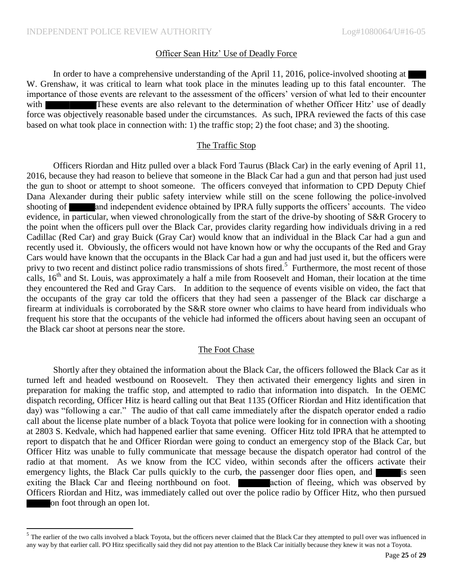$\overline{\phantom{a}}$ 

#### Officer Sean Hitz' Use of Deadly Force

In order to have a comprehensive understanding of the April 11, 2016, police-involved shooting at W. Grenshaw, it was critical to learn what took place in the minutes leading up to this fatal encounter. The importance of those events are relevant to the assessment of the officers' version of what led to their encounter with These events are also relevant to the determination of whether Officer Hitz' use of deadly force was objectively reasonable based under the circumstances. As such, IPRA reviewed the facts of this case based on what took place in connection with: 1) the traffic stop; 2) the foot chase; and 3) the shooting.

#### The Traffic Stop

Officers Riordan and Hitz pulled over a black Ford Taurus (Black Car) in the early evening of April 11, 2016, because they had reason to believe that someone in the Black Car had a gun and that person had just used the gun to shoot or attempt to shoot someone. The officers conveyed that information to CPD Deputy Chief Dana Alexander during their public safety interview while still on the scene following the police-involved shooting of and independent evidence obtained by IPRA fully supports the officers' accounts. The video evidence, in particular, when viewed chronologically from the start of the drive-by shooting of S&R Grocery to the point when the officers pull over the Black Car, provides clarity regarding how individuals driving in a red Cadillac (Red Car) and gray Buick (Gray Car) would know that an individual in the Black Car had a gun and recently used it. Obviously, the officers would not have known how or why the occupants of the Red and Gray Cars would have known that the occupants in the Black Car had a gun and had just used it, but the officers were privy to two recent and distinct police radio transmissions of shots fired.<sup>5</sup> Furthermore, the most recent of those calls, 16<sup>th</sup> and St. Louis, was approximately a half a mile from Roosevelt and Homan, their location at the time they encountered the Red and Gray Cars. In addition to the sequence of events visible on video, the fact that the occupants of the gray car told the officers that they had seen a passenger of the Black car discharge a firearm at individuals is corroborated by the S&R store owner who claims to have heard from individuals who frequent his store that the occupants of the vehicle had informed the officers about having seen an occupant of the Black car shoot at persons near the store.

#### The Foot Chase

Shortly after they obtained the information about the Black Car, the officers followed the Black Car as it turned left and headed westbound on Roosevelt. They then activated their emergency lights and siren in preparation for making the traffic stop, and attempted to radio that information into dispatch. In the OEMC dispatch recording, Officer Hitz is heard calling out that Beat 1135 (Officer Riordan and Hitz identification that day) was "following a car." The audio of that call came immediately after the dispatch operator ended a radio call about the license plate number of a black Toyota that police were looking for in connection with a shooting at 2803 S. Kedvale, which had happened earlier that same evening. Officer Hitz told IPRA that he attempted to report to dispatch that he and Officer Riordan were going to conduct an emergency stop of the Black Car, but Officer Hitz was unable to fully communicate that message because the dispatch operator had control of the radio at that moment. As we know from the ICC video, within seconds after the officers activate their emergency lights, the Black Car pulls quickly to the curb, the passenger door flies open, and is seen exiting the Black Car and fleeing northbound on foot. **All action** of fleeing, which was observed by Officers Riordan and Hitz, was immediately called out over the police radio by Officer Hitz, who then pursued on foot through an open lot.

 $<sup>5</sup>$  The earlier of the two calls involved a black Toyota, but the officers never claimed that the Black Car they attempted to pull over was influenced in</sup> any way by that earlier call. PO Hitz specifically said they did not pay attention to the Black Car initially because they knew it was not a Toyota.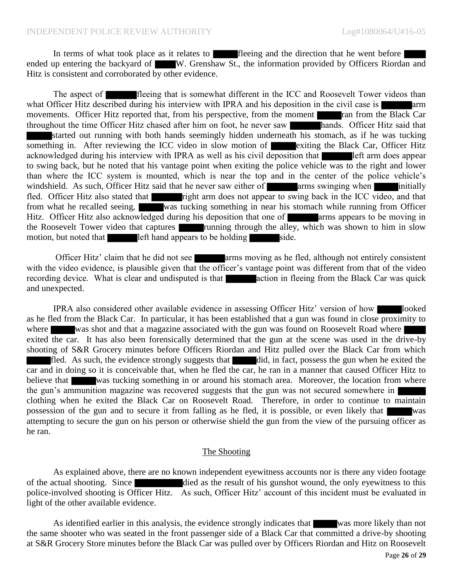In terms of what took place as it relates to **fleeing** and the direction that he went before ended up entering the backyard of W. Grenshaw St., the information provided by Officers Riordan and Hitz is consistent and corroborated by other evidence.

The aspect of **flue** fleeing that is somewhat different in the ICC and Roosevelt Tower videos than what Officer Hitz described during his interview with IPRA and his deposition in the civil case is arm movements. Officer Hitz reported that, from his perspective, from the moment ran from the Black Car throughout the time Officer Hitz chased after him on foot, he never saw hands. Officer Hitz said that started out running with both hands seemingly hidden underneath his stomach, as if he was tucking something in. After reviewing the ICC video in slow motion of exiting the Black Car, Officer Hitz acknowledged during his interview with IPRA as well as his civil deposition that left arm does appear to swing back, but he noted that his vantage point when exiting the police vehicle was to the right and lower than where the ICC system is mounted, which is near the top and in the center of the police vehicle's windshield. As such, Officer Hitz said that he never saw either of  $\blacksquare$  arms swinging when initially fled. Officer Hitz also stated that right arm does not appear to swing back in the ICC video, and that from what he recalled seeing, was tucking something in near his stomach while running from Officer Hitz. Officer Hitz also acknowledged during his deposition that one of **arms** appears to be moving in the Roosevelt Tower video that captures **running** through the alley, which was shown to him in slow motion, but noted that left hand appears to be holding side.

Officer Hitz' claim that he did not see **arms** moving as he fled, although not entirely consistent with the video evidence, is plausible given that the officer's vantage point was different from that of the video recording device. What is clear and undisputed is that action in fleeing from the Black Car was quick and unexpected.

IPRA also considered other available evidence in assessing Officer Hitz' version of how looked as he fled from the Black Car. In particular, it has been established that a gun was found in close proximity to where was shot and that a magazine associated with the gun was found on Roosevelt Road where exited the car. It has also been forensically determined that the gun at the scene was used in the drive-by shooting of S&R Grocery minutes before Officers Riordan and Hitz pulled over the Black Car from which  $\frac{d}{dt}$  fled. As such, the evidence strongly suggests that did, in fact, possess the gun when he exited the car and in doing so it is conceivable that, when he fled the car, he ran in a manner that caused Officer Hitz to believe that was tucking something in or around his stomach area. Moreover, the location from where the gun's ammunition magazine was recovered suggests that the gun was not secured somewhere in clothing when he exited the Black Car on Roosevelt Road. Therefore, in order to continue to maintain possession of the gun and to secure it from falling as he fled, it is possible, or even likely that was attempting to secure the gun on his person or otherwise shield the gun from the view of the pursuing officer as he ran.

#### The Shooting

As explained above, there are no known independent eyewitness accounts nor is there any video footage of the actual shooting. Since died as the result of his gunshot wound, the only eyewitness to this police-involved shooting is Officer Hitz. As such, Officer Hitz' account of this incident must be evaluated in light of the other available evidence.

As identified earlier in this analysis, the evidence strongly indicates that was more likely than not the same shooter who was seated in the front passenger side of a Black Car that committed a drive-by shooting at S&R Grocery Store minutes before the Black Car was pulled over by Officers Riordan and Hitz on Roosevelt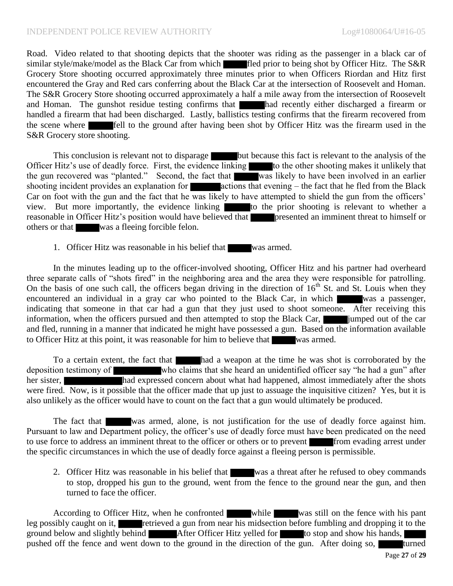Road. Video related to that shooting depicts that the shooter was riding as the passenger in a black car of similar style/make/model as the Black Car from which fled prior to being shot by Officer Hitz. The S&R Grocery Store shooting occurred approximately three minutes prior to when Officers Riordan and Hitz first encountered the Gray and Red cars conferring about the Black Car at the intersection of Roosevelt and Homan. The S&R Grocery Store shooting occurred approximately a half a mile away from the intersection of Roosevelt and Homan. The gunshot residue testing confirms that had recently either discharged a firearm or handled a firearm that had been discharged. Lastly, ballistics testing confirms that the firearm recovered from the scene where fell to the ground after having been shot by Officer Hitz was the firearm used in the S&R Grocery store shooting.

This conclusion is relevant not to disparage but because this fact is relevant to the analysis of the Officer Hitz's use of deadly force. First, the evidence linking to the other shooting makes it unlikely that the gun recovered was "planted." Second, the fact that was likely to have been involved in an earlier shooting incident provides an explanation for  $\blacksquare$  actions that evening – the fact that he fled from the Black Car on foot with the gun and the fact that he was likely to have attempted to shield the gun from the officers' view. But more importantly, the evidence linking to the prior shooting is relevant to whether a reasonable in Officer Hitz's position would have believed that presented an imminent threat to himself or others or that was a fleeing forcible felon.

### 1. Officer Hitz was reasonable in his belief that was armed.

In the minutes leading up to the officer-involved shooting, Officer Hitz and his partner had overheard three separate calls of "shots fired" in the neighboring area and the area they were responsible for patrolling. On the basis of one such call, the officers began driving in the direction of 16<sup>th</sup> St. and St. Louis when they encountered an individual in a gray car who pointed to the Black Car, in which was a passenger, indicating that someone in that car had a gun that they just used to shoot someone. After receiving this information, when the officers pursued and then attempted to stop the Black Car, including imped out of the car and fled, running in a manner that indicated he might have possessed a gun. Based on the information available to Officer Hitz at this point, it was reasonable for him to believe that was armed.

To a certain extent, the fact that had a weapon at the time he was shot is corroborated by the deposition testimony of who claims that she heard an unidentified officer say "he had a gun" after her sister, had expressed concern about what had happened, almost immediately after the shots were fired. Now, is it possible that the officer made that up just to assuage the inquisitive citizen? Yes, but it is also unlikely as the officer would have to count on the fact that a gun would ultimately be produced.

The fact that was armed, alone, is not justification for the use of deadly force against him. Pursuant to law and Department policy, the officer's use of deadly force must have been predicated on the need to use force to address an imminent threat to the officer or others or to prevent from evading arrest under the specific circumstances in which the use of deadly force against a fleeing person is permissible.

2. Officer Hitz was reasonable in his belief that was a threat after he refused to obey commands to stop, dropped his gun to the ground, went from the fence to the ground near the gun, and then turned to face the officer.

According to Officer Hitz, when he confronted while was still on the fence with his pant leg possibly caught on it, retrieved a gun from near his midsection before fumbling and dropping it to the ground below and slightly behind After Officer Hitz yelled for to stop and show his hands, pushed off the fence and went down to the ground in the direction of the gun. After doing so, turned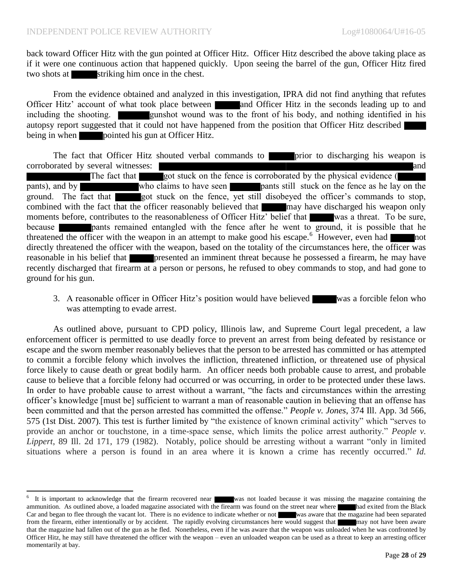$\overline{\phantom{a}}$ 

back toward Officer Hitz with the gun pointed at Officer Hitz. Officer Hitz described the above taking place as if it were one continuous action that happened quickly. Upon seeing the barrel of the gun, Officer Hitz fired two shots at striking him once in the chest.

From the evidence obtained and analyzed in this investigation, IPRA did not find anything that refutes Officer Hitz' account of what took place between and Officer Hitz in the seconds leading up to and including the shooting. **gunshot** wound was to the front of his body, and nothing identified in his autopsy report suggested that it could not have happened from the position that Officer Hitz described being in when **pointed** his gun at Officer Hitz.

The fact that Officer Hitz shouted verbal commands to **prior** to discharging his weapon is corroborated by several witnesses: and The fact that got stuck on the fence is corroborated by the physical evidence ( pants), and by who claims to have seen **pants** still stuck on the fence as he lay on the ground. The fact that got stuck on the fence, yet still disobeyed the officer's commands to stop, combined with the fact that the officer reasonably believed that may have discharged his weapon only moments before, contributes to the reasonableness of Officer Hitz' belief that was a threat. To be sure, because pants remained entangled with the fence after he went to ground, it is possible that he threatened the officer with the weapon in an attempt to make good his escape.<sup>6</sup> However, even had directly threatened the officer with the weapon, based on the totality of the circumstances here, the officer was reasonable in his belief that **presented an imminent threat because he possessed a firearm**, he may have recently discharged that firearm at a person or persons, he refused to obey commands to stop, and had gone to ground for his gun.

3. A reasonable officer in Officer Hitz's position would have believed was a forcible felon who was attempting to evade arrest.

As outlined above, pursuant to CPD policy, Illinois law, and Supreme Court legal precedent, a law enforcement officer is permitted to use deadly force to prevent an arrest from being defeated by resistance or escape and the sworn member reasonably believes that the person to be arrested has committed or has attempted to commit a forcible felony which involves the infliction, threatened infliction, or threatened use of physical force likely to cause death or great bodily harm. An officer needs both probable cause to arrest, and probable cause to believe that a forcible felony had occurred or was occurring, in order to be protected under these laws. In order to have probable cause to arrest without a warrant, "the facts and circumstances within the arresting officer's knowledge [must be] sufficient to warrant a man of reasonable caution in believing that an offense has been committed and that the person arrested has committed the offense." *People v. Jones*, 374 Ill. App. 3d 566, 575 (1st Dist. 2007). This test is further limited by "the existence of known criminal activity" which "serves to provide an anchor or touchstone, in a time-space sense, which limits the police arrest authority." *People v. Lippert*, 89 Ill. 2d 171, 179 (1982). Notably, police should be arresting without a warrant "only in limited situations where a person is found in an area where it is known a crime has recently occurred." *Id.*

<sup>6</sup> It is important to acknowledge that the firearm recovered near was not loaded because it was missing the magazine containing the ammunition. As outlined above, a loaded magazine associated with the firearm was found on the street near where had exited from the Black Car and began to flee through the vacant lot. There is no evidence to indicate whether or not was aware that the magazine had been separated from the firearm, either intentionally or by accident. The rapidly evolving circumstances here would suggest that may not have been aware that the magazine had fallen out of the gun as he fled. Nonetheless, even if he was aware that the weapon was unloaded when he was confronted by Officer Hitz, he may still have threatened the officer with the weapon – even an unloaded weapon can be used as a threat to keep an arresting officer momentarily at bay.